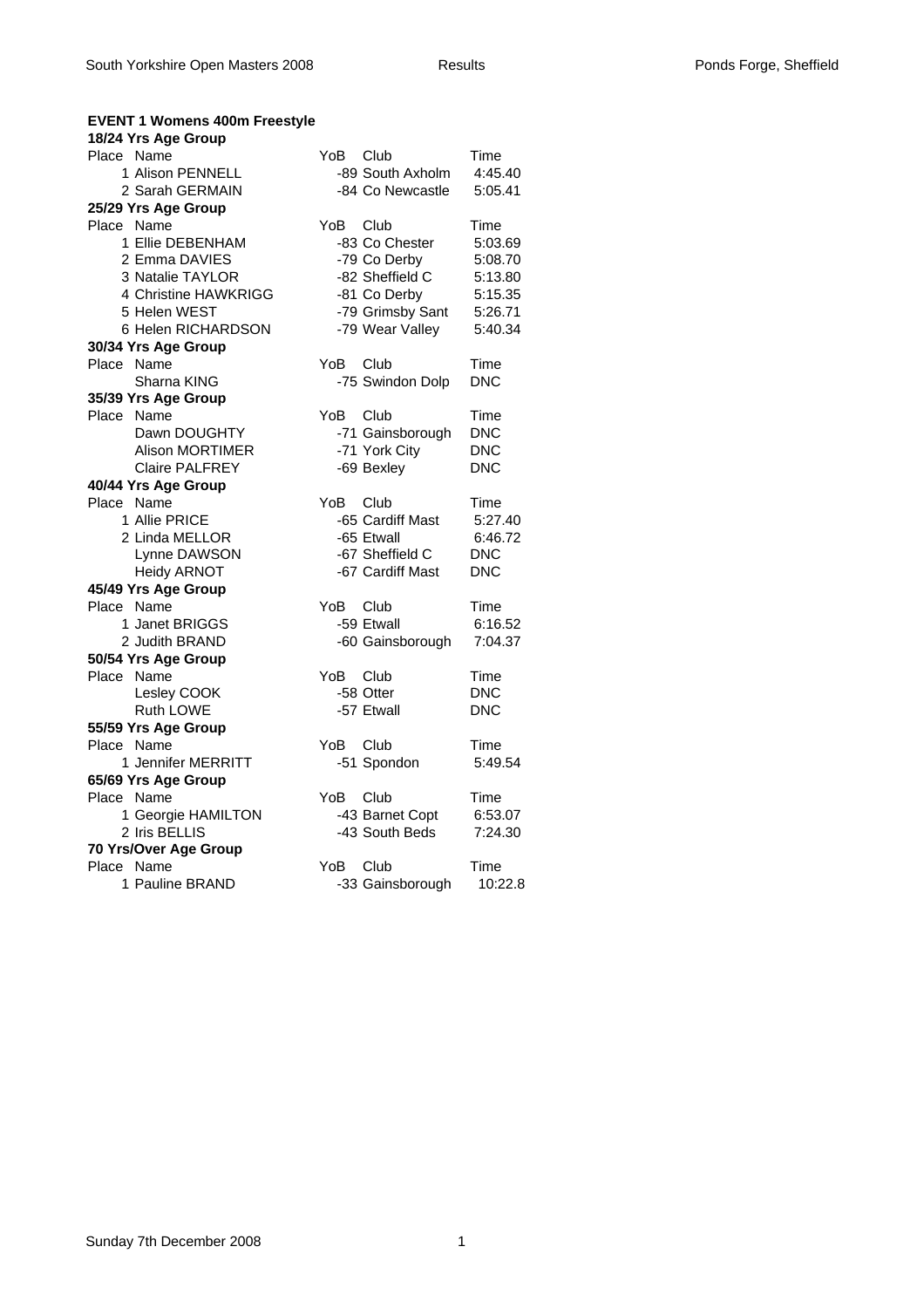### **EVENT 1 Womens 400m Freestyle**

|            | 18/24 Yrs Age Group    |      |                  |            |
|------------|------------------------|------|------------------|------------|
| Place Name |                        | YoB. | Club             | Time       |
|            | 1 Alison PENNELL       |      | -89 South Axholm | 4:45.40    |
|            | 2 Sarah GERMAIN        |      | -84 Co Newcastle | 5:05.41    |
|            | 25/29 Yrs Age Group    |      |                  |            |
| Place Name |                        | YoB  | Club             | Time       |
|            | 1 Ellie DEBENHAM       |      | -83 Co Chester   | 5:03.69    |
|            | 2 Emma DAVIES          |      | -79 Co Derby     | 5:08.70    |
|            | 3 Natalie TAYLOR       |      | -82 Sheffield C  | 5:13.80    |
|            | 4 Christine HAWKRIGG   |      | -81 Co Derby     | 5:15.35    |
|            | 5 Helen WEST           |      | -79 Grimsby Sant | 5:26.71    |
|            | 6 Helen RICHARDSON     |      | -79 Wear Valley  | 5:40.34    |
|            | 30/34 Yrs Age Group    |      |                  |            |
| Place Name |                        | YoB  | Club             | Time       |
|            | Sharna KING            |      | -75 Swindon Dolp | <b>DNC</b> |
|            | 35/39 Yrs Age Group    |      |                  |            |
| Place      | Name                   | YoB  | Club             | Time       |
|            | Dawn DOUGHTY           |      | -71 Gainsborough | <b>DNC</b> |
|            | <b>Alison MORTIMER</b> |      | -71 York City    | <b>DNC</b> |
|            | <b>Claire PALFREY</b>  |      | -69 Bexley       | <b>DNC</b> |
|            | 40/44 Yrs Age Group    |      |                  |            |
| Place Name |                        | YoB  | Club             | Time       |
|            | 1 Allie PRICE          |      | -65 Cardiff Mast | 5:27.40    |
|            | 2 Linda MELLOR         |      | -65 Etwall       | 6:46.72    |
|            |                        |      |                  |            |
|            | Lynne DAWSON           |      | -67 Sheffield C  | <b>DNC</b> |
|            | <b>Heidy ARNOT</b>     |      | -67 Cardiff Mast | <b>DNC</b> |
|            | 45/49 Yrs Age Group    |      |                  |            |
| Place Name |                        | YoB  | Club             | Time       |
|            | 1 Janet BRIGGS         |      | -59 Etwall       | 6:16.52    |
|            | 2 Judith BRAND         |      | -60 Gainsborough | 7:04.37    |
|            | 50/54 Yrs Age Group    |      |                  |            |
| Place Name |                        | YoB  | Club             | Time       |
|            | Lesley COOK            |      | -58 Otter        | <b>DNC</b> |
|            | Ruth LOWE              |      | -57 Etwall       | <b>DNC</b> |
|            | 55/59 Yrs Age Group    |      |                  |            |
| Place Name |                        | YoB  | Club             | Time       |
|            | 1 Jennifer MERRITT     |      | -51 Spondon      | 5:49.54    |
|            | 65/69 Yrs Age Group    |      |                  |            |
| Place Name |                        | YoB  | Club             | Time       |
|            | 1 Georgie HAMILTON     |      | -43 Barnet Copt  | 6:53.07    |
|            | 2 Iris BELLIS          |      | -43 South Beds   | 7:24.30    |
|            | 70 Yrs/Over Age Group  |      |                  |            |
| Place Name |                        | YoB  | Club             | Time       |
|            | 1 Pauline BRAND        |      | -33 Gainsborough | 10:22.8    |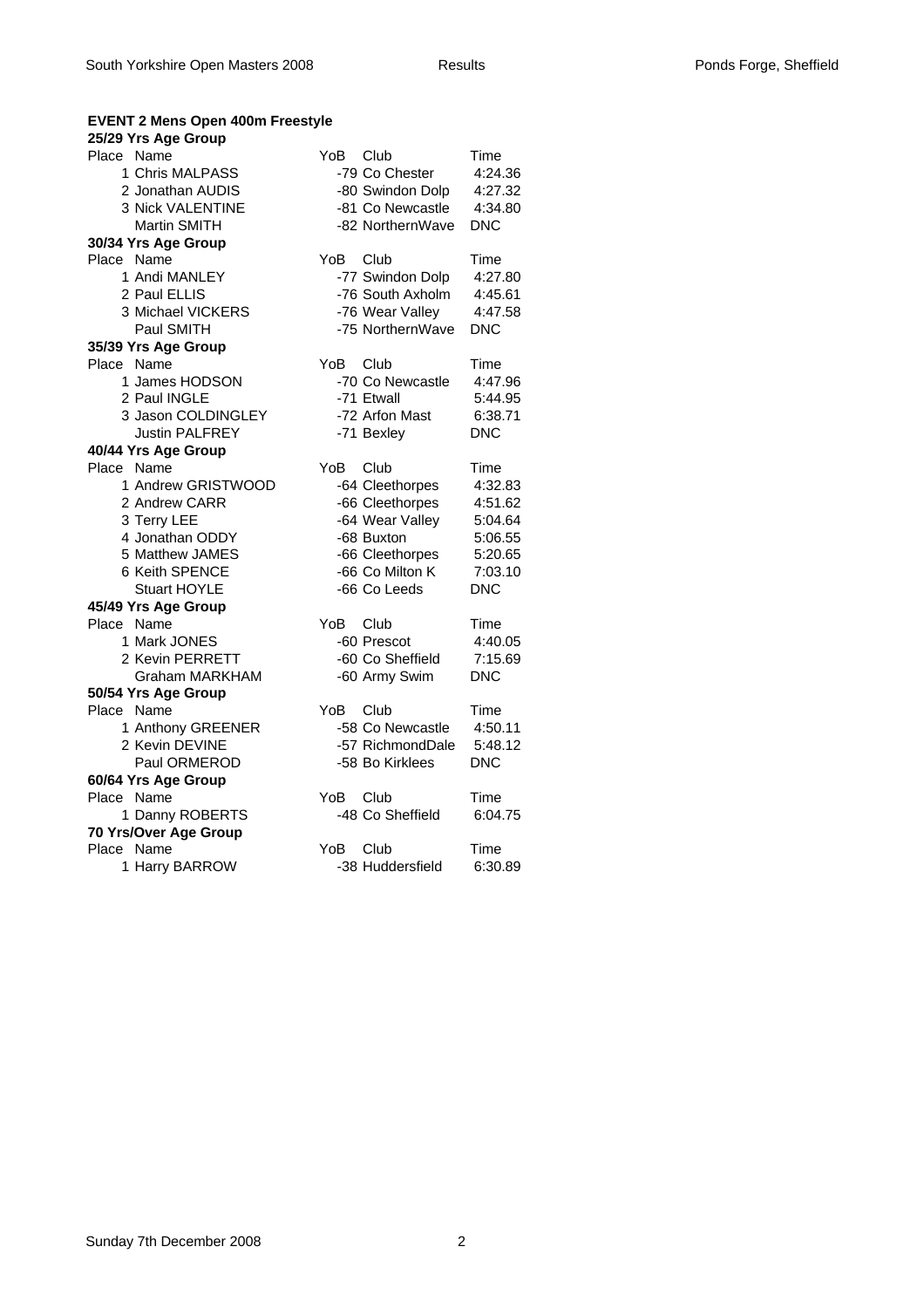### **EVENT 2 Mens Open 400m Freestyle**

| 25/29 Yrs Age Group   |                                |
|-----------------------|--------------------------------|
| Place Name            | YoB.<br>Club<br>Time           |
| 1 Chris MALPASS       | -79 Co Chester<br>4:24.36      |
| 2 Jonathan AUDIS      | -80 Swindon Dolp<br>4:27.32    |
| 3 Nick VALENTINE      | -81 Co Newcastle<br>4:34.80    |
| <b>Martin SMITH</b>   | -82 NorthernWave<br><b>DNC</b> |
| 30/34 Yrs Age Group   |                                |
| Place Name            | YoB.<br>Club<br>Time           |
| 1 Andi MANLEY         | -77 Swindon Dolp<br>4:27.80    |
| 2 Paul ELLIS          | -76 South Axholm<br>4:45.61    |
| 3 Michael VICKERS     | -76 Wear Valley<br>4:47.58     |
| Paul SMITH            | -75 NorthernWave<br><b>DNC</b> |
| 35/39 Yrs Age Group   |                                |
| Place Name            | YoB<br>Club<br>Time            |
| 1 James HODSON        | -70 Co Newcastle<br>4:47.96    |
| 2 Paul INGLE          | -71 Etwall<br>5:44.95          |
| 3 Jason COLDINGLEY    | -72 Arfon Mast<br>6:38.71      |
| <b>Justin PALFREY</b> | <b>DNC</b><br>-71 Bexley       |
| 40/44 Yrs Age Group   |                                |
| Place Name            | YoB<br>Club<br>Time            |
| 1 Andrew GRISTWOOD    | -64 Cleethorpes<br>4:32.83     |
| 2 Andrew CARR         | -66 Cleethorpes<br>4:51.62     |
| 3 Terry LEE           | -64 Wear Valley<br>5:04.64     |
| 4 Jonathan ODDY       | -68 Buxton<br>5:06.55          |
| 5 Matthew JAMES       | -66 Cleethorpes<br>5:20.65     |
| 6 Keith SPENCE        | -66 Co Milton K<br>7:03.10     |
| <b>Stuart HOYLE</b>   | -66 Co Leeds<br><b>DNC</b>     |
| 45/49 Yrs Age Group   |                                |
| Place Name            | YoB<br>Club<br>Time            |
| 1 Mark JONES          | -60 Prescot<br>4:40.05         |
| 2 Kevin PERRETT       | -60 Co Sheffield<br>7:15.69    |
| <b>Graham MARKHAM</b> | -60 Army Swim<br><b>DNC</b>    |
| 50/54 Yrs Age Group   |                                |
| Place Name            | Club<br>YoB<br>Time            |
| 1 Anthony GREENER     | -58 Co Newcastle<br>4:50.11    |
| 2 Kevin DEVINE        | -57 RichmondDale<br>5:48.12    |
| Paul ORMEROD          | -58 Bo Kirklees<br><b>DNC</b>  |
| 60/64 Yrs Age Group   |                                |
| Place Name            | YoB<br>Club<br>Time            |
| 1 Danny ROBERTS       | -48 Co Sheffield<br>6:04.75    |
| 70 Yrs/Over Age Group |                                |
| Place<br>Name         | YoB<br>Club<br>Time            |
| 1 Harry BARROW        | -38 Huddersfield<br>6:30.89    |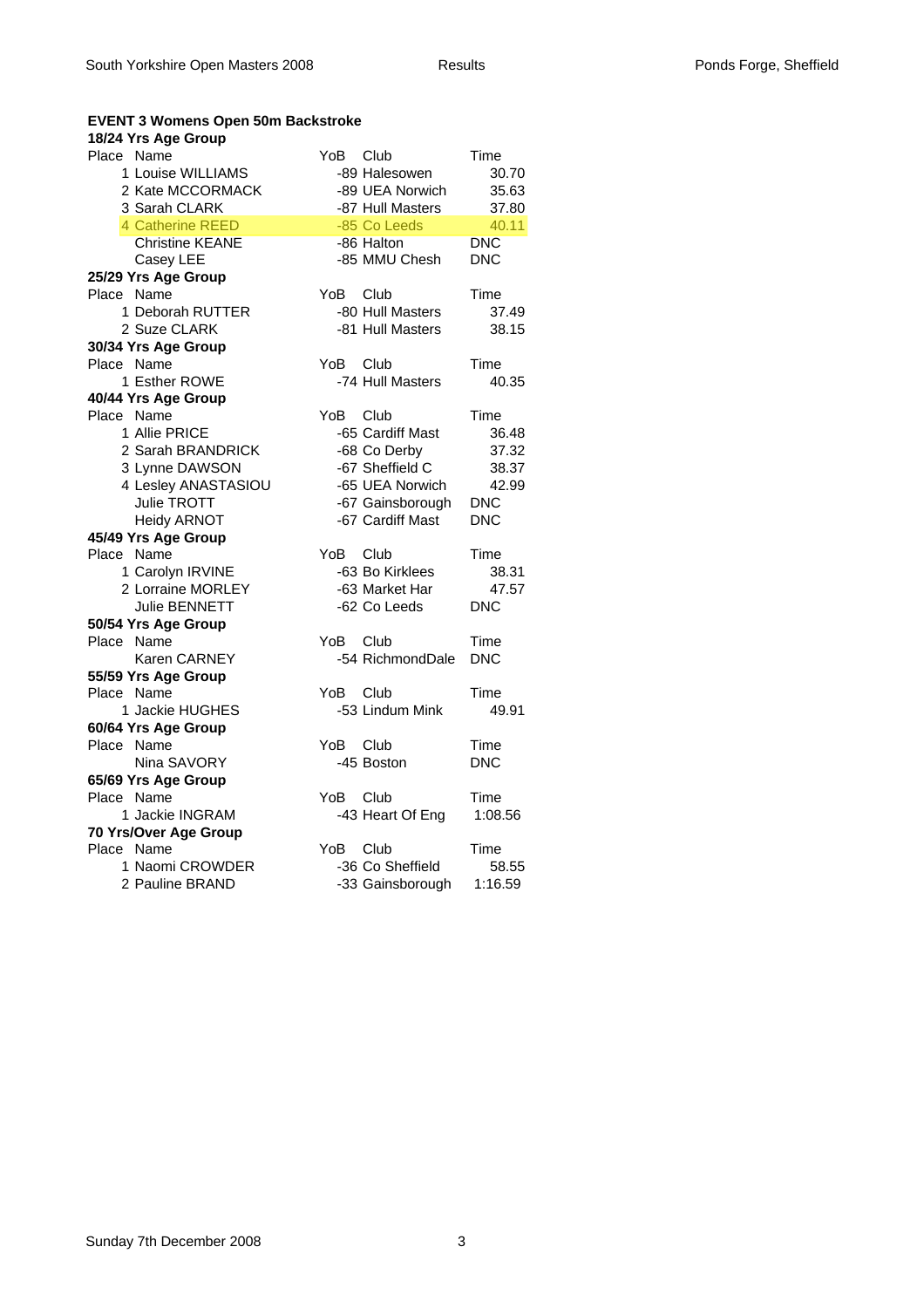#### **EVENT 3 Womens Open 50m Backstroke**

#### **18/24 Yrs Age Group**

| Place Name |                        | YoB  | Club             | Time       |
|------------|------------------------|------|------------------|------------|
|            | 1 Louise WILLIAMS      |      | -89 Halesowen    | 30.70      |
|            | 2 Kate MCCORMACK       |      | -89 UEA Norwich  | 35.63      |
|            | 3 Sarah CLARK          |      | -87 Hull Masters | 37.80      |
|            | 4 Catherine REED       |      | -85 Co Leeds     | 40.11      |
|            | <b>Christine KEANE</b> |      | -86 Halton       | <b>DNC</b> |
|            | Casey LEE              |      | -85 MMU Chesh    | <b>DNC</b> |
|            | 25/29 Yrs Age Group    |      |                  |            |
| Place Name |                        | YoB  | Club             | Time       |
|            | 1 Deborah RUTTER       |      | -80 Hull Masters | 37.49      |
|            | 2 Suze CLARK           |      | -81 Hull Masters | 38.15      |
|            | 30/34 Yrs Age Group    |      |                  |            |
| Place Name |                        | YoB  | Club             | Time       |
|            | 1 Esther ROWE          |      | -74 Hull Masters | 40.35      |
|            | 40/44 Yrs Age Group    |      |                  |            |
| Place Name |                        | YoB. | Club             | Time       |
|            | 1 Allie PRICE          |      | -65 Cardiff Mast | 36.48      |
|            | 2 Sarah BRANDRICK      |      | -68 Co Derby     | 37.32      |
|            | 3 Lynne DAWSON         |      | -67 Sheffield C  | 38.37      |
|            | 4 Lesley ANASTASIOU    |      | -65 UEA Norwich  | 42.99      |
|            | Julie TROTT            |      | -67 Gainsborough | <b>DNC</b> |
|            | <b>Heidy ARNOT</b>     |      | -67 Cardiff Mast | <b>DNC</b> |
|            | 45/49 Yrs Age Group    |      |                  |            |
| Place Name |                        | YoB  | Club             | Time       |
|            | 1 Carolyn IRVINE       |      | -63 Bo Kirklees  | 38.31      |
|            | 2 Lorraine MORLEY      |      | -63 Market Har   | 47.57      |
|            | Julie BENNETT          |      | -62 Co Leeds     | <b>DNC</b> |
|            | 50/54 Yrs Age Group    |      |                  |            |
| Place Name |                        | YoB. | Club             | Time       |
|            | Karen CARNEY           |      | -54 RichmondDale | <b>DNC</b> |
|            | 55/59 Yrs Age Group    |      |                  |            |
| Place Name |                        | YoB  | Club             | Time       |
|            | 1 Jackie HUGHES        |      | -53 Lindum Mink  | 49.91      |
|            | 60/64 Yrs Age Group    |      |                  |            |
| Place Name |                        | YoB. | Club             | Time       |
|            | Nina SAVORY            |      | -45 Boston       | <b>DNC</b> |
|            | 65/69 Yrs Age Group    |      |                  |            |
| Place Name |                        | YoB  | Club             | Time       |
|            | 1 Jackie INGRAM        |      | -43 Heart Of Eng | 1:08.56    |
|            | 70 Yrs/Over Age Group  |      |                  |            |
| Place Name |                        | YoB. | Club             | Time       |
|            | 1 Naomi CROWDER        |      | -36 Co Sheffield | 58.55      |
|            | 2 Pauline BRAND        |      | -33 Gainsborough | 1:16.59    |
|            |                        |      |                  |            |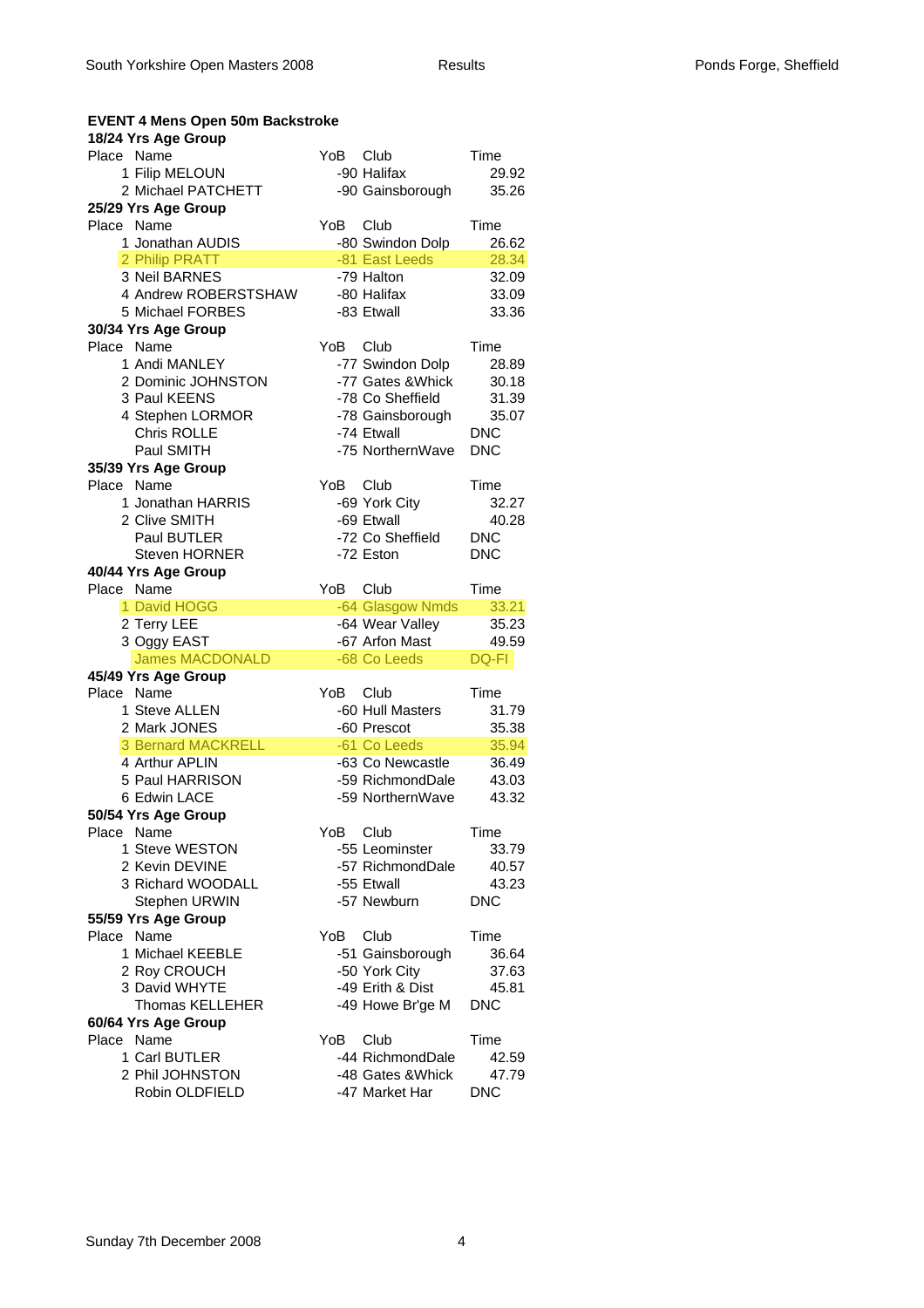| <b>EVENT 4 Mens Open 50m Backstroke</b><br>18/24 Yrs Age Group |      |                   |            |
|----------------------------------------------------------------|------|-------------------|------------|
| Place Name                                                     | YoB. | Club              | Time       |
| 1 Filip MELOUN                                                 |      | -90 Halifax       | 29.92      |
| 2 Michael PATCHETT                                             |      | -90 Gainsborough  | 35.26      |
| 25/29 Yrs Age Group                                            |      |                   |            |
| Place Name                                                     | YoB  | Club              | Time       |
| 1 Jonathan AUDIS                                               |      | -80 Swindon Dolp  | 26.62      |
| 2 Philip PRATT                                                 |      | -81 East Leeds    | 28.34      |
| 3 Neil BARNES                                                  |      | -79 Halton        | 32.09      |
| 4 Andrew ROBERSTSHAW                                           |      | -80 Halifax       | 33.09      |
| 5 Michael FORBES                                               |      | -83 Etwall        | 33.36      |
| 30/34 Yrs Age Group                                            |      |                   |            |
| Place Name                                                     | YoB. | Club              | Time       |
| 1 Andi MANLEY                                                  |      | -77 Swindon Dolp  | 28.89      |
| 2 Dominic JOHNSTON                                             |      | -77 Gates & Whick | 30.18      |
| 3 Paul KEENS                                                   |      | -78 Co Sheffield  | 31.39      |
| 4 Stephen LORMOR                                               |      | -78 Gainsborough  | 35.07      |
| Chris ROLLE                                                    |      | -74 Etwall        | <b>DNC</b> |
| Paul SMITH                                                     |      | -75 NorthernWave  | <b>DNC</b> |
| 35/39 Yrs Age Group                                            |      |                   |            |
| Place Name                                                     | YoB  | Club              | Time       |
| 1 Jonathan HARRIS                                              |      | -69 York City     | 32.27      |
| 2 Clive SMITH                                                  |      | -69 Etwall        | 40.28      |
| Paul BUTLER                                                    |      | -72 Co Sheffield  | <b>DNC</b> |
| <b>Steven HORNER</b>                                           |      | -72 Eston         | <b>DNC</b> |
| 40/44 Yrs Age Group                                            |      |                   |            |
| Place Name                                                     | YoB  | Club              | Time       |
| 1 David HOGG                                                   |      | -64 Glasgow Nmds  | 33.21      |
| 2 Terry LEE                                                    |      | -64 Wear Valley   | 35.23      |
| 3 Oggy EAST                                                    |      | -67 Arfon Mast    | 49.59      |
| <b>James MACDONALD</b>                                         |      | -68 Co Leeds      | DQ-FI      |
| 45/49 Yrs Age Group                                            |      |                   |            |
| Place Name                                                     | YoB  | Club              | Time       |
| 1 Steve ALLEN                                                  |      | -60 Hull Masters  | 31.79      |
| 2 Mark JONES                                                   |      | -60 Prescot       | 35.38      |
| <b>3 Bernard MACKRELL</b>                                      |      | -61 Co Leeds      | 35.94      |
| 4 Arthur APLIN                                                 |      | -63 Co Newcastle  | 36.49      |
| 5 Paul HARRISON                                                |      | -59 RichmondDale  | 43.03      |
| 6 Edwin LACE                                                   |      | -59 NorthernWave  | 43.32      |
| 50/54 Yrs Age Group                                            |      |                   |            |
| Place Name                                                     | YoB  | Club              | Time       |
| 1 Steve WESTON                                                 |      | -55 Leominster    | 33.79      |
| 2 Kevin DEVINE                                                 |      | -57 RichmondDale  | 40.57      |
| 3 Richard WOODALL                                              |      | -55 Etwall        | 43.23      |
| <b>Stephen URWIN</b>                                           |      | -57 Newburn       | <b>DNC</b> |
| 55/59 Yrs Age Group                                            |      |                   |            |
| Place Name                                                     | YoB. | Club              | Time       |
| 1 Michael KEEBLE                                               |      | -51 Gainsborough  | 36.64      |
| 2 Roy CROUCH                                                   |      | -50 York City     | 37.63      |
| 3 David WHYTE                                                  |      | -49 Erith & Dist  | 45.81      |
| <b>Thomas KELLEHER</b>                                         |      | -49 Howe Br'ge M  | <b>DNC</b> |
| 60/64 Yrs Age Group                                            |      |                   |            |
| Place Name                                                     | YoB  | Club              | Time       |
| 1 Carl BUTLER                                                  |      | -44 RichmondDale  | 42.59      |
|                                                                |      |                   |            |
| 2 Phil JOHNSTON                                                |      | -48 Gates & Whick | 47.79      |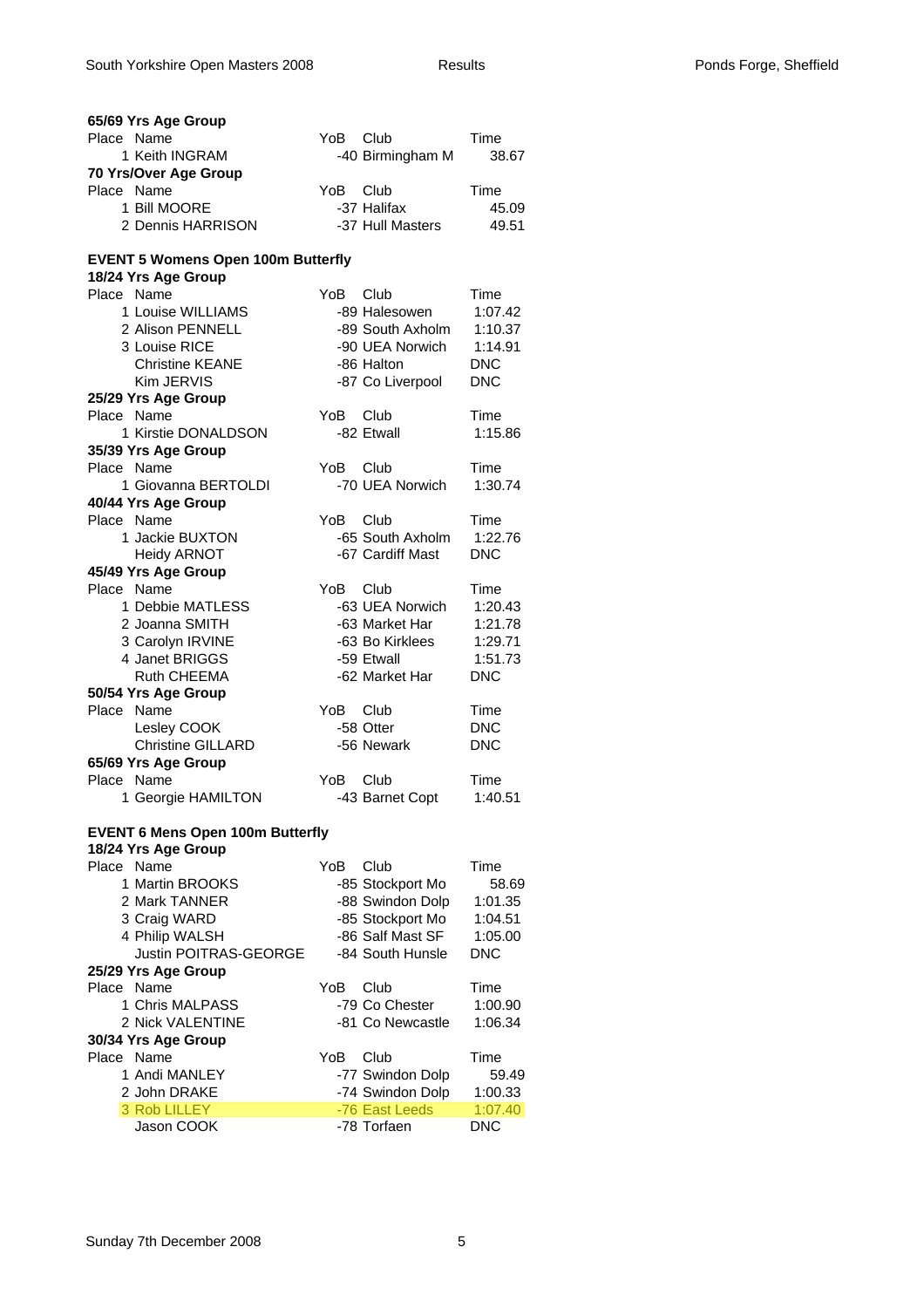| 65/69 Yrs Age Group                                              |                  |            |
|------------------------------------------------------------------|------------------|------------|
| Place Name                                                       | YoB Club         | Time       |
| 1 Keith INGRAM                                                   | -40 Birmingham M | 38.67      |
| 70 Yrs/Over Age Group                                            |                  |            |
| Place Name                                                       | Club<br>YoB.     | Time       |
| 1 Bill MOORE                                                     | -37 Halifax      | 45.09      |
| 2 Dennis HARRISON                                                | -37 Hull Masters | 49.51      |
| <b>EVENT 5 Womens Open 100m Butterfly</b><br>18/24 Yrs Age Group |                  |            |
| Place Name                                                       | YoB.<br>Club     | Time       |
| 1 Louise WILLIAMS                                                | -89 Halesowen    | 1:07.42    |
| 2 Alison PENNELL                                                 | -89 South Axholm | 1:10.37    |
| 3 Louise RICE                                                    | -90 UEA Norwich  | 1:14.91    |
| <b>Christine KEANE</b>                                           | -86 Halton       | <b>DNC</b> |
| Kim JERVIS                                                       | -87 Co Liverpool | <b>DNC</b> |
| 25/29 Yrs Age Group                                              |                  |            |
| Place Name                                                       | YoB<br>Club      | Time       |
| 1 Kirstie DONALDSON                                              | -82 Etwall       | 1:15.86    |
| 35/39 Yrs Age Group                                              |                  |            |
| Place Name                                                       | YoB.<br>Club     | Time       |
| 1 Giovanna BERTOLDI                                              | -70 UEA Norwich  | 1:30.74    |
| 40/44 Yrs Age Group                                              |                  |            |
| Place Name                                                       | YoB.<br>Club     | Time       |
| 1 Jackie BUXTON                                                  | -65 South Axholm | 1:22.76    |
| <b>Heidy ARNOT</b>                                               | -67 Cardiff Mast | <b>DNC</b> |
| 45/49 Yrs Age Group                                              |                  |            |
| Place Name                                                       | YoB<br>Club      | Time       |
| 1 Debbie MATLESS                                                 | -63 UEA Norwich  | 1:20.43    |
| 2 Joanna SMITH                                                   | -63 Market Har   | 1:21.78    |
| 3 Carolyn IRVINE                                                 | -63 Bo Kirklees  | 1:29.71    |
| 4 Janet BRIGGS                                                   | -59 Etwall       | 1:51.73    |
| Ruth CHEEMA                                                      | -62 Market Har   | <b>DNC</b> |
| 50/54 Yrs Age Group                                              |                  |            |
| Place<br>Name                                                    | YoB<br>Club      | Time       |
| Lesley COOK                                                      | -58 Otter        | <b>DNC</b> |
| <b>Christine GILLARD</b>                                         | -56 Newark       | <b>DNC</b> |
| 65/69 Yrs Age Group                                              |                  |            |
| Place Name                                                       | YoB<br>Club      | Time       |
| 1 Georgie HAMILTON                                               | -43 Barnet Copt  | 1:40.51    |
| <b>EVENT 6 Mens Open 100m Butterfly</b>                          |                  |            |
| 18/24 Yrs Age Group                                              |                  |            |
| Place Name                                                       | YoB.<br>Club     | Time       |
| 1 Martin BROOKS                                                  | -85 Stockport Mo | 58.69      |
| 2 Mark TANNER                                                    | -88 Swindon Dolp | 1:01.35    |
| 3 Craig WARD                                                     | -85 Stockport Mo | 1:04.51    |
| 4 Philip WALSH                                                   | -86 Salf Mast SF | 1:05.00    |
| <b>Justin POITRAS-GEORGE</b>                                     | -84 South Hunsle | <b>DNC</b> |
| 25/29 Yrs Age Group                                              |                  |            |
| Place Name                                                       | YoB<br>Club      | Time       |
| 1 Chris MALPASS                                                  | -79 Co Chester   | 1:00.90    |
| 2 Nick VALENTINE                                                 | -81 Co Newcastle | 1:06.34    |
| 30/34 Yrs Age Group                                              |                  |            |
| Place Name                                                       | YoB<br>Club      | Time       |
| 1 Andi MANLEY                                                    | -77 Swindon Dolp | 59.49      |
| 2 John DRAKE                                                     | -74 Swindon Dolp | 1:00.33    |
| 3 Rob LILLEY                                                     | -76 East Leeds   | 1:07.40    |
| Jason COOK                                                       | -78 Torfaen      | <b>DNC</b> |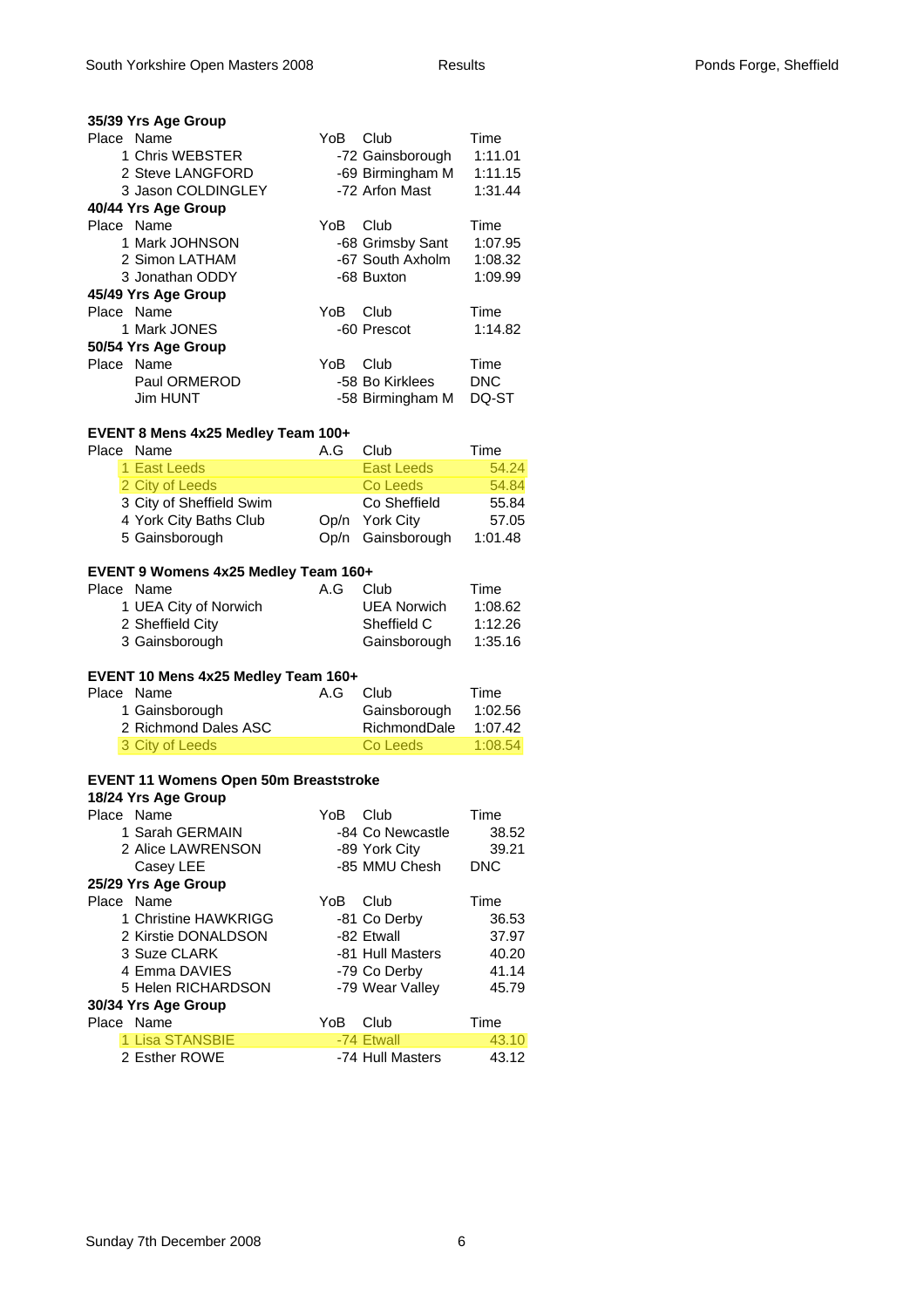| 35/39 Yrs Age Group |     |                  |            |
|---------------------|-----|------------------|------------|
| Place Name          | YoB | Club             | Time       |
| 1 Chris WEBSTER     |     | -72 Gainsborough | 1:11.01    |
| 2 Steve LANGFORD    |     | -69 Birmingham M | 1:11.15    |
| 3 Jason COLDINGLEY  |     | -72 Arfon Mast   | 1:31.44    |
| 40/44 Yrs Age Group |     |                  |            |
| Place Name          | YoB | Club             | Time       |
| 1 Mark JOHNSON      |     | -68 Grimsby Sant | 1:07.95    |
| 2 Simon LATHAM      |     | -67 South Axholm | 1:08.32    |
| 3 Jonathan ODDY     |     | -68 Buxton       | 1:09.99    |
| 45/49 Yrs Age Group |     |                  |            |
| Place Name          | YoB | Club             | Time       |
| 1 Mark JONES        |     | -60 Prescot      | 1:14.82    |
| 50/54 Yrs Age Group |     |                  |            |
| Place Name          | YoB | Club             | Time       |
| Paul ORMEROD        |     | -58 Bo Kirklees  | <b>DNC</b> |
| Jim HUNT            |     | -58 Birmingham M | DQ-ST      |

## **EVENT 8 Mens 4x25 Medley Team 100+**

| Place Name               | A.G | Club              | Time    |
|--------------------------|-----|-------------------|---------|
| 1 East Leeds             |     | <b>East Leeds</b> | 54.24   |
| 2 City of Leeds          |     | Co Leeds          | 54.84   |
| 3 City of Sheffield Swim |     | Co Sheffield      | 55.84   |
| 4 York City Baths Club   |     | Op/n York City    | 57.05   |
| 5 Gainsborough           |     | Op/n Gainsborough | 1:01.48 |

#### **EVENT 9 Womens 4x25 Medley Team 160+**

| Place Name            | A.G | Club               | Time    |
|-----------------------|-----|--------------------|---------|
| 1 UEA City of Norwich |     | <b>UEA Norwich</b> | 1:08.62 |
| 2 Sheffield City      |     | Sheffield C        | 1:12.26 |
| 3 Gainsborough        |     | Gainsborough       | 1:35.16 |

# **EVENT 10 Mens 4x25 Medley Team 160+**

| Place Name           | A.G Club |              | Time    |
|----------------------|----------|--------------|---------|
| 1 Gainsborough       |          | Gainsborough | 1:02.56 |
| 2 Richmond Dales ASC |          | RichmondDale | 1:07.42 |
| 3 City of Leeds      |          | Co Leeds     | 1:08.54 |

#### **EVENT 11 Womens Open 50m Breaststroke**

#### **18/24 Yrs Age Group**

| Place Name |                      | YoB | Club             | Time       |
|------------|----------------------|-----|------------------|------------|
|            | 1 Sarah GERMAIN      |     | -84 Co Newcastle | 38.52      |
|            | 2 Alice LAWRENSON    |     | -89 York City    | 39.21      |
|            | Casey LEE            |     | -85 MMU Chesh    | <b>DNC</b> |
|            | 25/29 Yrs Age Group  |     |                  |            |
| Place Name |                      | YoB | Club             | Time       |
|            | 1 Christine HAWKRIGG |     | -81 Co Derby     | 36.53      |
|            | 2 Kirstie DONALDSON  |     | -82 Etwall       | 37.97      |
|            | 3 Suze CLARK         |     | -81 Hull Masters | 40.20      |
|            | 4 Emma DAVIES        |     | -79 Co Derby     | 41.14      |
|            | 5 Helen RICHARDSON   |     | -79 Wear Valley  | 45.79      |
|            | 30/34 Yrs Age Group  |     |                  |            |
| Place Name |                      | YoB | Club             | Time       |
|            | 1 Lisa STANSBIE      |     | -74 Etwall       | 43.10      |
|            | 2 Esther ROWE        |     | -74 Hull Masters | 43.12      |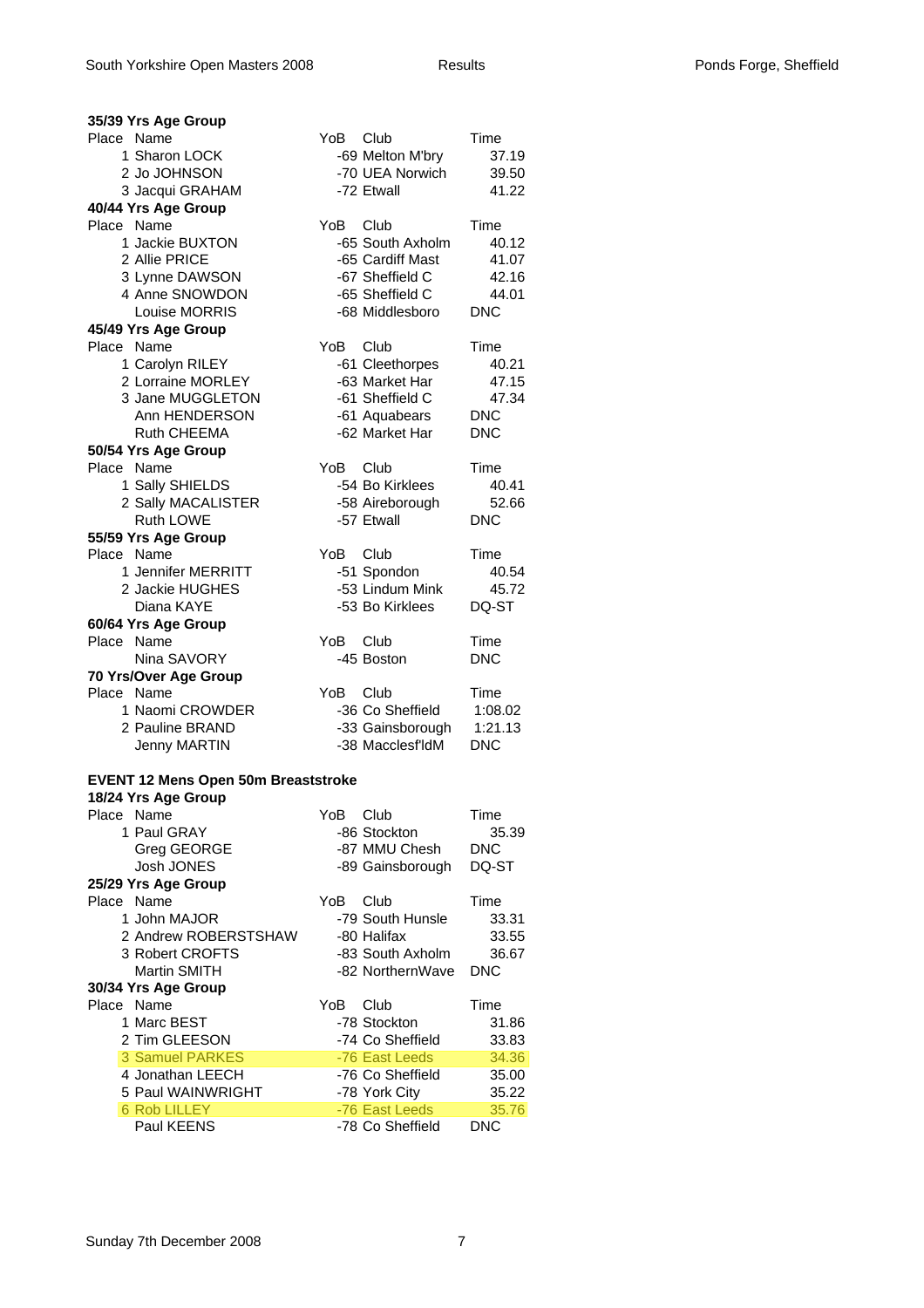| 35/39 Yrs Age Group                                               |          |                                      |                     |
|-------------------------------------------------------------------|----------|--------------------------------------|---------------------|
| Place Name                                                        | YoB Club |                                      | Time                |
| 1 Sharon LOCK                                                     |          | -69 Melton M'bry                     | 37.19               |
| 2 Jo JOHNSON                                                      |          | -70 UEA Norwich                      | 39.50               |
| 3 Jacqui GRAHAM                                                   |          | -72 Etwall                           | 41.22               |
| 40/44 Yrs Age Group                                               |          |                                      |                     |
| Place Name                                                        | YoB      | Club                                 | Time                |
| 1 Jackie BUXTON                                                   |          | -65 South Axholm                     | 40.12               |
| 2 Allie PRICE                                                     |          | -65 Cardiff Mast                     | 41.07               |
| 3 Lynne DAWSON                                                    |          | -67 Sheffield C                      | 42.16               |
| 4 Anne SNOWDON                                                    |          | -65 Sheffield C                      | 44.01               |
| Louise MORRIS                                                     |          | -68 Middlesboro                      | <b>DNC</b>          |
| 45/49 Yrs Age Group                                               |          |                                      |                     |
| Name<br>Place                                                     | YoB      | Club                                 | Time                |
| 1 Carolyn RILEY                                                   |          | -61 Cleethorpes                      | 40.21               |
| 2 Lorraine MORLEY                                                 |          | -63 Market Har                       | 47.15               |
| 3 Jane MUGGLETON                                                  |          | -61 Sheffield C                      | 47.34               |
| Ann HENDERSON                                                     |          | -61 Aquabears                        | <b>DNC</b>          |
| Ruth CHEEMA                                                       |          | -62 Market Har                       | <b>DNC</b>          |
| 50/54 Yrs Age Group                                               |          |                                      |                     |
| Place Name                                                        | YoB      | Club<br>-54 Bo Kirklees              | Time                |
| 1 Sally SHIELDS                                                   |          |                                      | 40.41               |
| 2 Sally MACALISTER<br>Ruth LOWE                                   |          | -58 Aireborough<br>-57 Etwall        | 52.66<br><b>DNC</b> |
| 55/59 Yrs Age Group                                               |          |                                      |                     |
| Place Name                                                        | YoB.     | Club                                 | Time                |
| 1 Jennifer MERRITT                                                |          | -51 Spondon                          | 40.54               |
| 2 Jackie HUGHES                                                   |          | -53 Lindum Mink                      | 45.72               |
| Diana KAYE                                                        |          | -53 Bo Kirklees                      | DQ-ST               |
|                                                                   |          |                                      |                     |
|                                                                   |          |                                      |                     |
| 60/64 Yrs Age Group                                               |          |                                      |                     |
| Place Name                                                        | YoB.     | <b>Club</b>                          | Time                |
| Nina SAVORY                                                       |          | -45 Boston                           | <b>DNC</b>          |
| 70 Yrs/Over Age Group                                             |          |                                      |                     |
| Place Name                                                        | YoB      | Club                                 | Time                |
| 1 Naomi CROWDER                                                   |          | -36 Co Sheffield                     | 1:08.02             |
| 2 Pauline BRAND                                                   |          | -33 Gainsborough<br>-38 Macclesf'ldM | 1:21.13             |
| <b>Jenny MARTIN</b>                                               |          |                                      | <b>DNC</b>          |
|                                                                   |          |                                      |                     |
| <b>EVENT 12 Mens Open 50m Breaststroke</b><br>18/24 Yrs Age Group |          |                                      |                     |
| Place<br>Name                                                     | YoB      | Club                                 | Time                |
| 1 Paul GRAY                                                       |          | -86 Stockton                         | 35.39               |
| Greg GEORGE                                                       |          | -87 MMU Chesh                        | <b>DNC</b>          |
| Josh JONES                                                        |          | -89 Gainsborough                     | DQ-ST               |
| 25/29 Yrs Age Group                                               |          |                                      |                     |
| Place Name                                                        | YoB.     | Club                                 | Time                |
| 1 John MAJOR                                                      |          | -79 South Hunsle                     | 33.31               |
| 2 Andrew ROBERSTSHAW                                              |          | -80 Halifax                          | 33.55               |
| 3 Robert CROFTS                                                   |          | -83 South Axholm                     | 36.67               |
| <b>Martin SMITH</b>                                               |          | -82 NorthernWave                     | <b>DNC</b>          |
| 30/34 Yrs Age Group                                               |          |                                      |                     |
| Place Name                                                        | YoB      | Club                                 | Time                |
| 1 Marc BEST                                                       |          | -78 Stockton                         | 31.86               |
| 2 Tim GLEESON                                                     |          | -74 Co Sheffield                     | 33.83               |
| <b>3 Samuel PARKES</b>                                            |          | -76 East Leeds                       | 34.36               |
| 4 Jonathan LEECH                                                  |          | -76 Co Sheffield                     | 35.00               |
| 5 Paul WAINWRIGHT                                                 |          | -78 York City                        | 35.22               |
| <b>6 Rob LILLEY</b><br>Paul KEENS                                 |          | -76 East Leeds<br>-78 Co Sheffield   | 35.76<br><b>DNC</b> |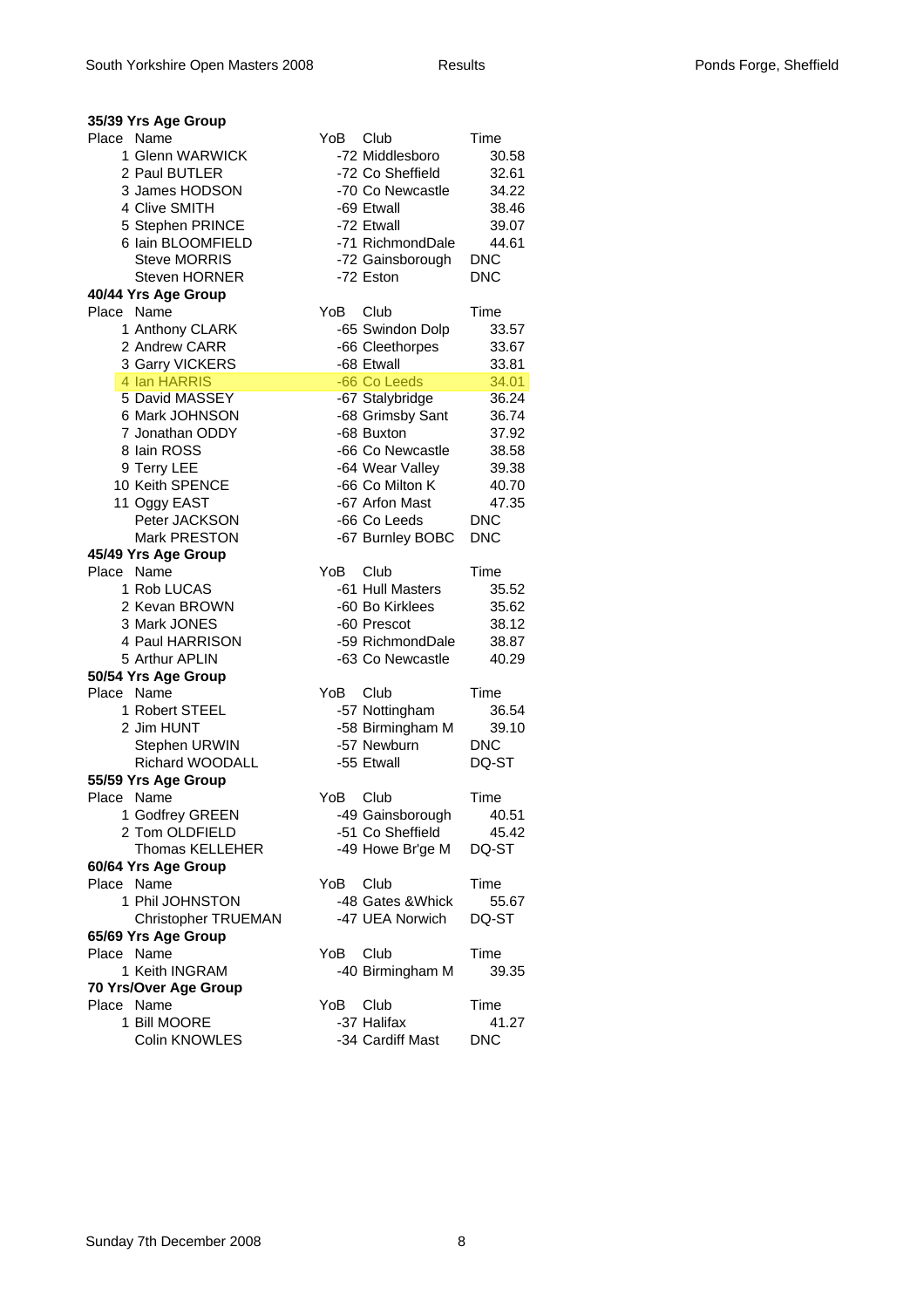|            | 35/39 Yrs Age Group            |      |                   |            |
|------------|--------------------------------|------|-------------------|------------|
| Place      | Name                           | YoB  | Club              | Time       |
|            | 1 Glenn WARWICK                |      | -72 Middlesboro   | 30.58      |
|            | 2 Paul BUTLER                  |      | -72 Co Sheffield  | 32.61      |
|            | 3 James HODSON                 |      | -70 Co Newcastle  | 34.22      |
|            | 4 Clive SMITH                  |      | -69 Etwall        | 38.46      |
|            | 5 Stephen PRINCE               |      | -72 Etwall        | 39.07      |
|            | 6 Iain BLOOMFIELD              |      | -71 RichmondDale  | 44.61      |
|            | <b>Steve MORRIS</b>            |      | -72 Gainsborough  | <b>DNC</b> |
|            | Steven HORNER                  |      | -72 Eston         | <b>DNC</b> |
|            | 40/44 Yrs Age Group            |      |                   |            |
| Place Name |                                | YoB. | Club              | Time       |
|            | 1 Anthony CLARK                |      | -65 Swindon Dolp  | 33.57      |
|            | 2 Andrew CARR                  |      | -66 Cleethorpes   | 33.67      |
|            | 3 Garry VICKERS                |      | -68 Etwall        | 33.81      |
|            | 4 Ian HARRIS                   |      | -66 Co Leeds      | 34.01      |
|            | 5 David MASSEY                 |      | -67 Stalybridge   | 36.24      |
|            | 6 Mark JOHNSON                 |      | -68 Grimsby Sant  | 36.74      |
|            | 7 Jonathan ODDY                |      | -68 Buxton        | 37.92      |
|            | 8 Iain ROSS                    |      | -66 Co Newcastle  | 38.58      |
|            |                                |      | -64 Wear Valley   | 39.38      |
|            | 9 Terry LEE<br>10 Keith SPENCE |      | -66 Co Milton K   |            |
|            |                                |      | -67 Arfon Mast    | 40.70      |
|            | 11 Oggy EAST                   |      |                   | 47.35      |
|            | Peter JACKSON                  |      | -66 Co Leeds      | <b>DNC</b> |
|            | Mark PRESTON                   |      | -67 Burnley BOBC  | <b>DNC</b> |
|            | 45/49 Yrs Age Group            |      |                   |            |
| Place Name |                                | YoB  | Club              | Time       |
|            | 1 Rob LUCAS                    |      | -61 Hull Masters  | 35.52      |
|            | 2 Kevan BROWN                  |      | -60 Bo Kirklees   | 35.62      |
|            | 3 Mark JONES                   |      | -60 Prescot       | 38.12      |
|            | 4 Paul HARRISON                |      | -59 RichmondDale  | 38.87      |
|            | 5 Arthur APLIN                 |      | -63 Co Newcastle  | 40.29      |
|            | 50/54 Yrs Age Group            |      |                   |            |
| Place Name |                                | YoB  | Club              | Time       |
|            | 1 Robert STEEL                 |      | -57 Nottingham    | 36.54      |
|            | 2 Jim HUNT                     |      | -58 Birmingham M  | 39.10      |
|            | Stephen URWIN                  |      | -57 Newburn       | <b>DNC</b> |
|            | <b>Richard WOODALL</b>         |      | -55 Etwall        | DQ-ST      |
|            | 55/59 Yrs Age Group            |      |                   |            |
| Place Name |                                | YoB  | Club              | Time       |
|            | 1 Godfrey GREEN                |      | -49 Gainsborough  | 40.51      |
|            | 2 Tom OLDFIELD                 |      | -51 Co Sheffield  | 45.42      |
|            | <b>Thomas KELLEHER</b>         |      | -49 Howe Br'ge M  | DQ-ST      |
|            | 60/64 Yrs Age Group            |      |                   |            |
| Place Name |                                | YoB  | Club              | Time       |
|            | 1 Phil JOHNSTON                |      | -48 Gates & Whick | 55.67      |
|            | <b>Christopher TRUEMAN</b>     |      | -47 UEA Norwich   | DQ-ST      |
|            | 65/69 Yrs Age Group            |      |                   |            |
| Place Name |                                | YoB  | Club              | Time       |
|            | 1 Keith INGRAM                 |      | -40 Birmingham M  | 39.35      |
|            | 70 Yrs/Over Age Group          |      |                   |            |
| Place Name |                                | YoB  | Club              | Time       |
|            | 1 Bill MOORE                   |      | -37 Halifax       | 41.27      |
|            | Colin KNOWLES                  |      | -34 Cardiff Mast  | <b>DNC</b> |
|            |                                |      |                   |            |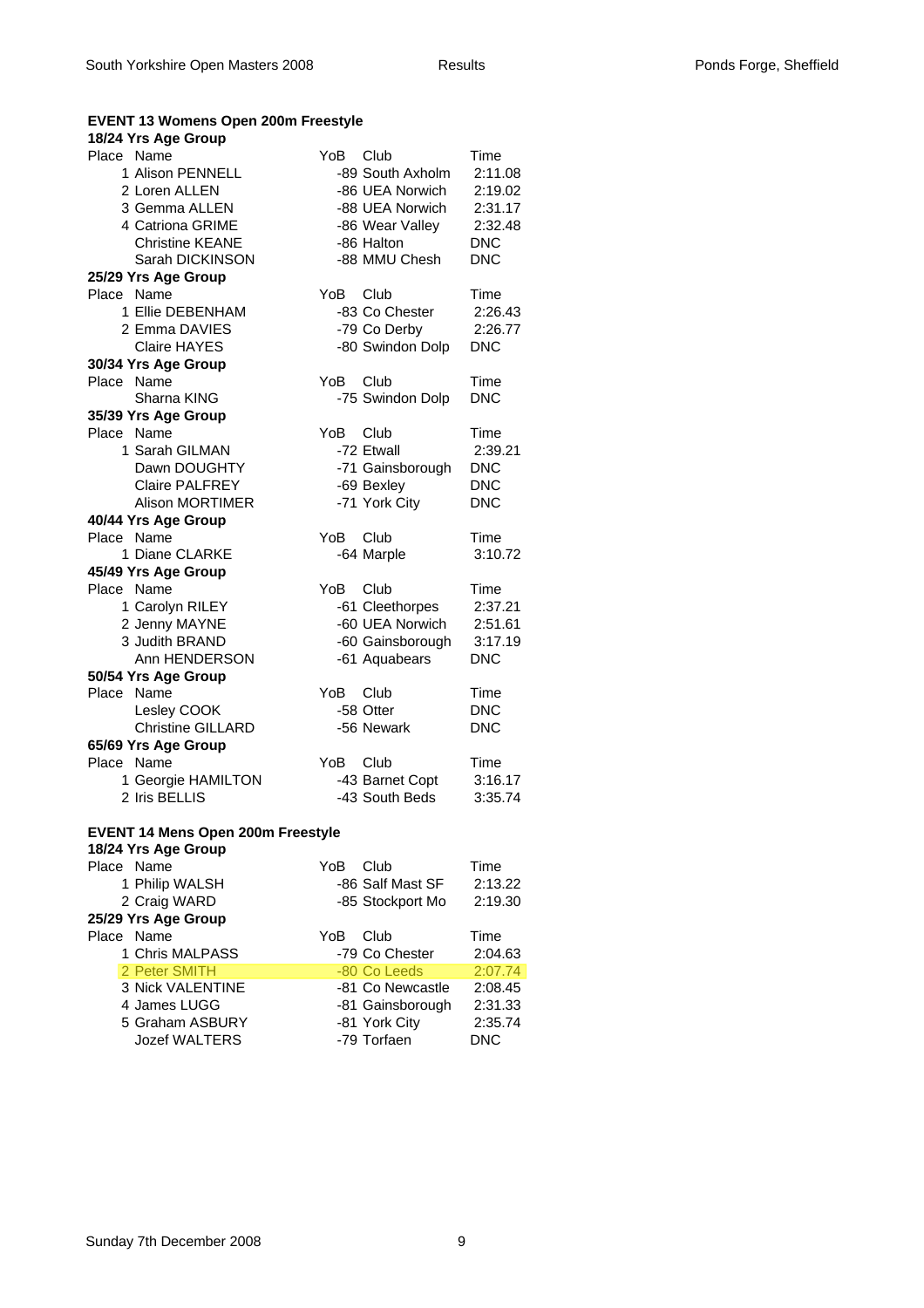### **EVENT 13 Womens Open 200m Freestyle**

### **18/24 Yrs Age Group**

| Place Name                               | YoB  | Club             | Time       |
|------------------------------------------|------|------------------|------------|
| 1 Alison PENNELL                         |      | -89 South Axholm | 2:11.08    |
| 2 Loren ALLEN                            |      | -86 UEA Norwich  | 2:19.02    |
| 3 Gemma ALLEN                            |      | -88 UEA Norwich  | 2:31.17    |
| 4 Catriona GRIME                         |      | -86 Wear Valley  | 2:32.48    |
| <b>Christine KEANE</b>                   |      | -86 Halton       | <b>DNC</b> |
| Sarah DICKINSON                          |      | -88 MMU Chesh    | <b>DNC</b> |
| 25/29 Yrs Age Group                      |      |                  |            |
| Place<br>Name                            | YoB  | Club             | Time       |
| 1 Ellie DEBENHAM                         |      | -83 Co Chester   | 2:26.43    |
|                                          |      | -79 Co Derby     |            |
| 2 Emma DAVIES<br><b>Claire HAYES</b>     |      |                  | 2:26.77    |
|                                          |      | -80 Swindon Dolp | <b>DNC</b> |
| 30/34 Yrs Age Group                      |      |                  |            |
| Place Name                               | YoB. | Club             | Time       |
| Sharna KING                              |      | -75 Swindon Dolp | <b>DNC</b> |
| 35/39 Yrs Age Group                      |      |                  |            |
| Place Name                               | YoB. | Club             | Time       |
| 1 Sarah GILMAN                           |      | -72 Etwall       | 2:39.21    |
| Dawn DOUGHTY                             |      | -71 Gainsborough | <b>DNC</b> |
| <b>Claire PALFREY</b>                    |      | -69 Bexley       | <b>DNC</b> |
| <b>Alison MORTIMER</b>                   |      | -71 York City    | <b>DNC</b> |
| 40/44 Yrs Age Group                      |      |                  |            |
| Place Name                               | YoB  | Club             | Time       |
| 1 Diane CLARKE                           |      | -64 Marple       | 3:10.72    |
| 45/49 Yrs Age Group                      |      |                  |            |
| Place Name                               | YoB  | Club             | Time       |
| 1 Carolyn RILEY                          |      | -61 Cleethorpes  | 2:37.21    |
| 2 Jenny MAYNE                            |      | -60 UEA Norwich  | 2:51.61    |
| 3 Judith BRAND                           |      | -60 Gainsborough | 3:17.19    |
| Ann HENDERSON                            |      | -61 Aquabears    | <b>DNC</b> |
| 50/54 Yrs Age Group                      |      |                  |            |
| Place Name                               | YoB. | – Club           | Time       |
| Lesley COOK                              |      | -58 Otter        | <b>DNC</b> |
| Christine GILLARD                        |      | -56 Newark       | <b>DNC</b> |
| 65/69 Yrs Age Group                      |      |                  |            |
| Place Name                               | YoB  | Club             | Time       |
| 1 Georgie HAMILTON                       |      | -43 Barnet Copt  | 3:16.17    |
| 2 Iris BELLIS                            |      | -43 South Beds   | 3:35.74    |
|                                          |      |                  |            |
| <b>EVENT 14 Mens Open 200m Freestyle</b> |      |                  |            |
| 18/24 Yrs Age Group                      |      |                  |            |
| Place Name                               | YoB. | Club             | Time       |
| 1 Philip WALSH                           |      | -86 Salf Mast SF | 2:13.22    |
| 2 Craig WARD                             |      | -85 Stockport Mo | 2:19.30    |
| 25/29 Yrs Age Group                      |      |                  |            |
| Place Name                               | YoB  | Club             | Time       |
| 1 Chris MALPASS                          |      | -79 Co Chester   | 2:04.63    |
|                                          |      |                  |            |

2 Peter SMITH -80 Co Leeds 2:07.74 3 Nick VALENTINE -81 Co Newcastle 2:08.45 4 James LUGG -81 Gainsborough 2:31.33 5 Graham ASBURY -81 York City 2:35.74<br>Jozef WALTERS -79 Torfaen DNC Jozef WALTERS -79 Torfaen DNC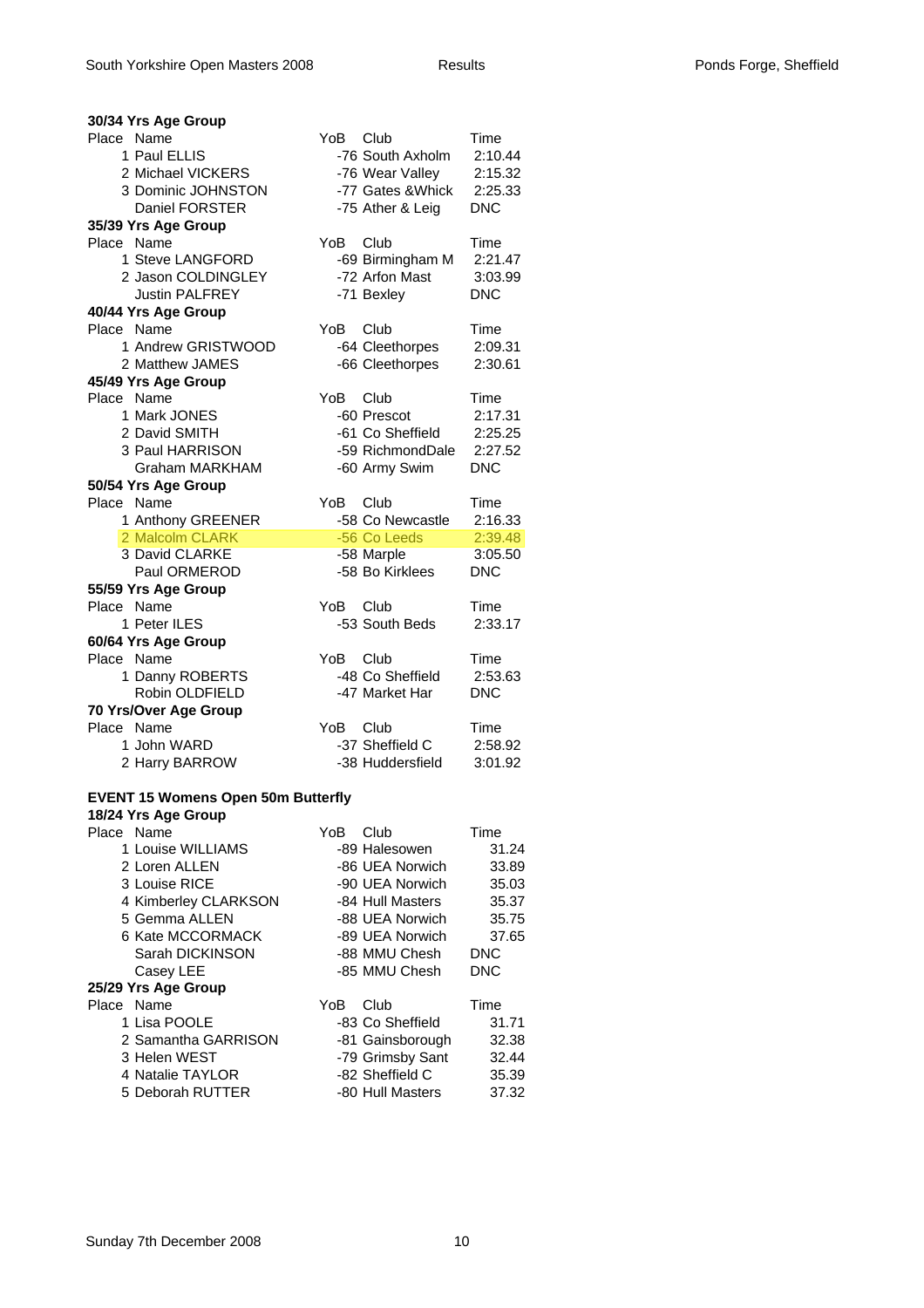| 30/34 Yrs Age Group                       |      |                   |            |
|-------------------------------------------|------|-------------------|------------|
| Place Name                                | YoB  | Club              | Time       |
| 1 Paul ELLIS                              |      | -76 South Axholm  | 2:10.44    |
| 2 Michael VICKERS                         |      | -76 Wear Valley   | 2:15.32    |
| 3 Dominic JOHNSTON                        |      | -77 Gates & Whick | 2:25.33    |
| Daniel FORSTER                            |      | -75 Ather & Leig  | <b>DNC</b> |
| 35/39 Yrs Age Group                       |      |                   |            |
| Place<br>Name                             | YoB  | Club              | Time       |
| 1 Steve LANGFORD                          |      | -69 Birmingham M  | 2:21.47    |
| 2 Jason COLDINGLEY                        |      | -72 Arfon Mast    | 3:03.99    |
| <b>Justin PALFREY</b>                     |      | -71 Bexley        | <b>DNC</b> |
| 40/44 Yrs Age Group                       |      |                   |            |
| Place Name                                | YoB. | Club              | Time       |
| 1 Andrew GRISTWOOD                        |      | -64 Cleethorpes   | 2:09.31    |
| 2 Matthew JAMES                           |      | -66 Cleethorpes   | 2:30.61    |
| 45/49 Yrs Age Group                       |      |                   |            |
| Place Name                                | YoB  | Club              | Time       |
| 1 Mark JONES                              |      | -60 Prescot       | 2:17.31    |
| 2 David SMITH                             |      | -61 Co Sheffield  | 2:25.25    |
| 3 Paul HARRISON                           |      | -59 RichmondDale  | 2:27.52    |
| <b>Graham MARKHAM</b>                     |      | -60 Army Swim     | <b>DNC</b> |
| 50/54 Yrs Age Group                       |      |                   |            |
| Place Name                                | YoB  | Club              | Time       |
| 1 Anthony GREENER                         |      | -58 Co Newcastle  | 2:16.33    |
| 2 Malcolm CLARK                           |      | -56 Co Leeds      | 2:39.48    |
| 3 David CLARKE                            |      | -58 Marple        | 3:05.50    |
| Paul ORMEROD                              |      | -58 Bo Kirklees   | <b>DNC</b> |
| 55/59 Yrs Age Group                       |      |                   |            |
| Place Name                                | YoB  | Club              | Time       |
| 1 Peter ILES                              |      | -53 South Beds    | 2:33.17    |
| 60/64 Yrs Age Group                       |      |                   |            |
| Place Name                                | YoB. | <b>Club</b>       | Time       |
| 1 Danny ROBERTS                           |      | -48 Co Sheffield  | 2:53.63    |
| Robin OLDFIELD                            |      | -47 Market Har    | <b>DNC</b> |
| 70 Yrs/Over Age Group                     |      |                   |            |
| Place Name                                | YoB  | Club              | Time       |
| 1 John WARD                               |      | -37 Sheffield C   | 2:58.92    |
| 2 Harry BARROW                            |      | -38 Huddersfield  | 3:01.92    |
|                                           |      |                   |            |
| <b>EVENT 15 Womens Open 50m Butterfly</b> |      |                   |            |
| 18/24 Yrs Age Group                       |      |                   |            |
| Place Name                                | YoB. | Club              | Time       |
| 1 Louise WILLIAMS                         |      | -89 Halesowen     | 31.24      |
| 2 Loren ALLEN                             |      | -86 UEA Norwich   | 33.89      |
| 3 Louise RICE                             |      | -90 UEA Norwich   | 35.03      |
| 4 Kimberley CLARKSON                      |      | -84 Hull Masters  | 35.37      |
| 5 Gemma ALLEN                             |      | -88 UEA Norwich   | 35.75      |
| 6 Kate MCCORMACK                          |      | -89 UEA Norwich   | 37.65      |
| Sarah DICKINSON                           |      | -88 MMU Chesh     | <b>DNC</b> |
| Casey LEE                                 |      | -85 MMU Chesh     | <b>DNC</b> |
| 25/29 Yrs Age Group                       |      |                   |            |
| Place<br>Name                             | YoB  | Club              | Time       |
| 1 Lisa POOLE                              |      | -83 Co Sheffield  | 31.71      |
| 2 Samantha GARRISON                       |      | -81 Gainsborough  | 32.38      |
| 3 Helen WEST                              |      | -79 Grimsby Sant  | 32.44      |
| 4 Natalie TAYLOR                          |      | -82 Sheffield C   | 35.39      |

5 Deborah RUTTER -80 Hull Masters 37.32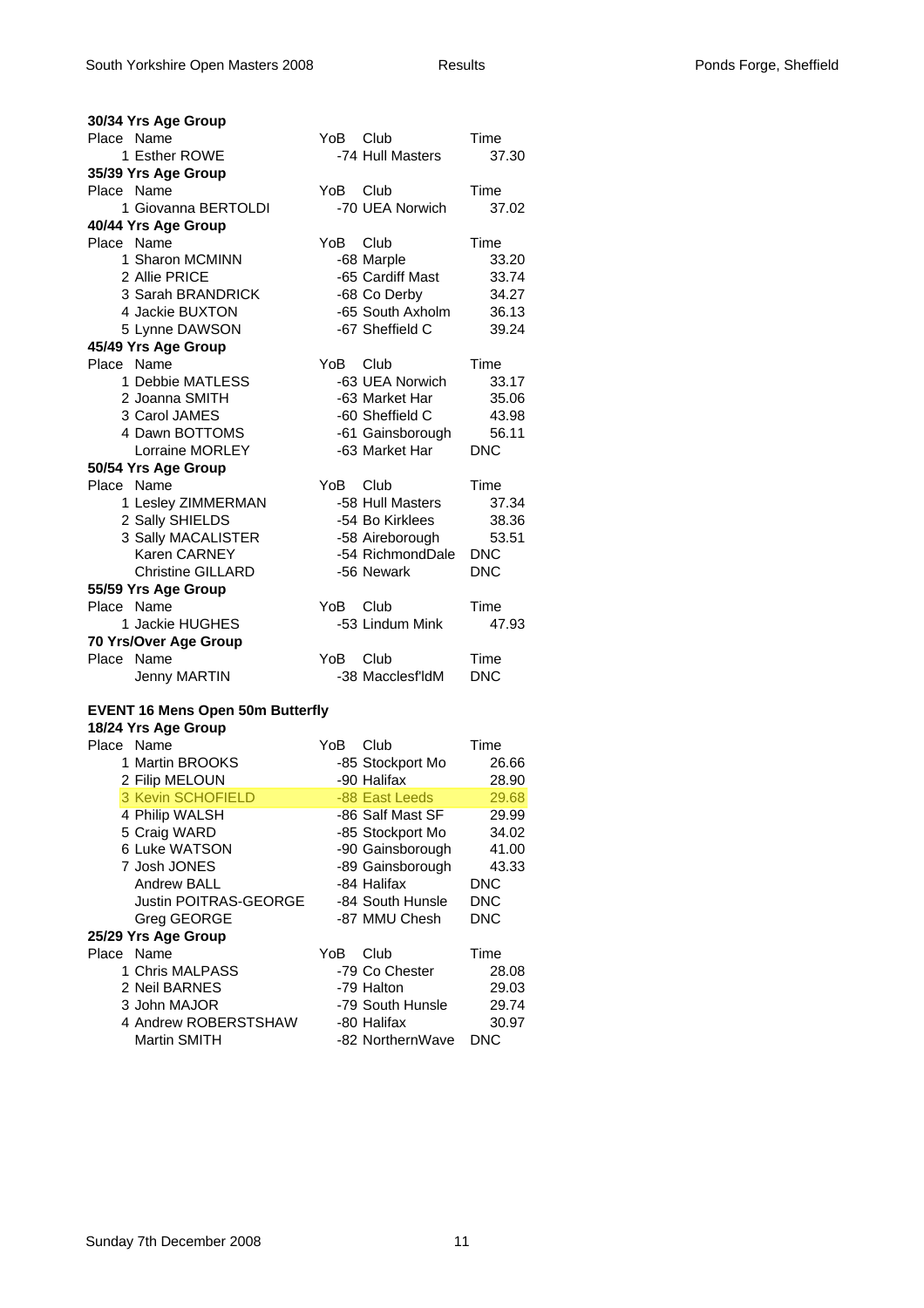| 30/34 Yrs Age Group                     |          |                         |            |
|-----------------------------------------|----------|-------------------------|------------|
| Place Name                              | YoB Club |                         | Time       |
| 1 Esther ROWE                           |          | -74 Hull Masters        | 37.30      |
| 35/39 Yrs Age Group                     |          |                         |            |
| Place Name                              | YoB      | Club                    | Time       |
| 1 Giovanna BERTOLDI                     |          | -70 UEA Norwich         | 37.02      |
| 40/44 Yrs Age Group                     |          |                         |            |
| Place Name                              | YoB      | Club                    | Time       |
| 1 Sharon MCMINN                         |          | -68 Marple              | 33.20      |
| 2 Allie PRICE                           |          | -65 Cardiff Mast        | 33.74      |
| 3 Sarah BRANDRICK                       |          | -68 Co Derby            | 34.27      |
| 4 Jackie BUXTON                         |          | -65 South Axholm        | 36.13      |
| 5 Lynne DAWSON                          |          | -67 Sheffield C         | 39.24      |
| 45/49 Yrs Age Group                     |          |                         |            |
| Place Name                              | YoB      | Club                    | Time       |
| 1 Debbie MATLESS                        |          | -63 UEA Norwich         | 33.17      |
| 2 Joanna SMITH                          |          | -63 Market Har          | 35.06      |
| 3 Carol JAMES                           |          | -60 Sheffield C         | 43.98      |
| 4 Dawn BOTTOMS                          |          | -61 Gainsborough        | 56.11      |
| Lorraine MORLEY                         |          | -63 Market Har          | <b>DNC</b> |
| 50/54 Yrs Age Group                     |          |                         |            |
| Place Name                              | YoB      | Club                    | Time       |
| 1 Lesley ZIMMERMAN                      |          | -58 Hull Masters        | 37.34      |
| 2 Sally SHIELDS                         |          | -54 Bo Kirklees         | 38.36      |
| 3 Sally MACALISTER                      |          | -58 Aireborough         | 53.51      |
| Karen CARNEY                            |          | -54 RichmondDale        | <b>DNC</b> |
| <b>Christine GILLARD</b>                |          | -56 Newark              | <b>DNC</b> |
| 55/59 Yrs Age Group                     |          |                         |            |
| Place Name<br>1 Jackie HUGHES           | YoB.     | Club<br>-53 Lindum Mink | Time       |
|                                         |          |                         | 47.93      |
| 70 Yrs/Over Age Group<br>Place Name     | YoB      | Club                    | Time       |
|                                         |          | -38 Macclesf'ldM        | <b>DNC</b> |
| <b>Jenny MARTIN</b>                     |          |                         |            |
| <b>EVENT 16 Mens Open 50m Butterfly</b> |          |                         |            |
| 18/24 Yrs Age Group                     |          |                         |            |
| Place Name                              | YoB      | Club                    | Time       |
| 1 Martin BROOKS                         |          | -85 Stockport Mo        | 26.66      |
| 2 Filip MELOUN                          |          | -90 Halifax             | 28.90      |
| 3 Kevin SCHOFIELD                       |          | -88 East Leeds          | 29.68      |
| 4 Philip WALSH                          |          | -86 Salf Mast SF        | 29.99      |
| 5 Craig WARD                            |          | -85 Stockport Mo        | 34.02      |
| 6 Luke WATSON                           |          | -90 Gainsborough        | 41.00      |
| 7 Josh JONES                            |          | -89 Gainsborough        | 43.33      |
| <b>Andrew BALL</b>                      |          | -84 Halifax             | <b>DNC</b> |
| <b>Justin POITRAS-GEORGE</b>            |          | -84 South Hunsle        | <b>DNC</b> |
| Greg GEORGE                             |          | -87 MMU Chesh           | <b>DNC</b> |
| 25/29 Yrs Age Group                     |          |                         |            |
| Place Name                              | YoB      | Club                    | Time       |
| 1 Chris MALPASS                         |          | -79 Co Chester          | 28.08      |
| 2 Neil BARNES                           |          | -79 Halton              | 29.03.     |

| 2 Neil BARNES        | -79 Halton       | 29.03 |
|----------------------|------------------|-------|
| 3 John MAJOR         | -79 South Hunsle | 29.74 |
| 4 Andrew ROBERSTSHAW | -80 Halifax      | 30.97 |
| Martin SMITH         | -82 NorthernWave | DNC.  |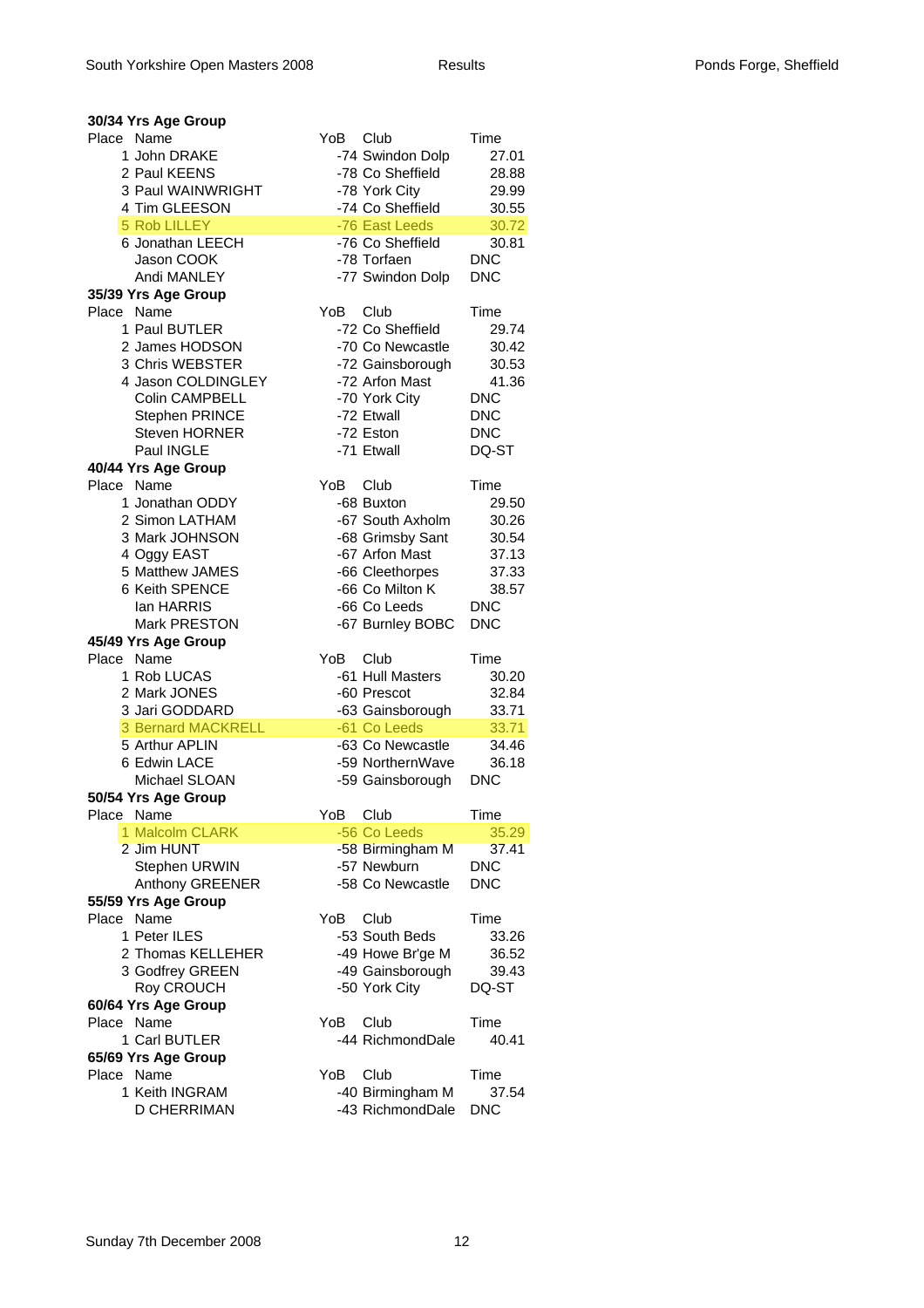| 30/34 Yrs Age Group               |                                                             |  |
|-----------------------------------|-------------------------------------------------------------|--|
| Place Name                        | YoB<br>Club<br>Time                                         |  |
| 1 John DRAKE                      | -74 Swindon Dolp<br>27.01                                   |  |
| 2 Paul KEENS                      | -78 Co Sheffield<br>28.88                                   |  |
| 3 Paul WAINWRIGHT                 | -78 York City<br>29.99                                      |  |
| 4 Tim GLEESON                     | -74 Co Sheffield<br>30.55                                   |  |
| 5 Rob LILLEY<br>6 Jonathan LEECH  | -76 East Leeds<br>30.72<br>-76 Co Sheffield<br>30.81        |  |
| Jason COOK                        | -78 Torfaen<br><b>DNC</b>                                   |  |
| Andi MANLEY                       | -77 Swindon Dolp<br><b>DNC</b>                              |  |
| 35/39 Yrs Age Group               |                                                             |  |
| Place Name                        | Club<br>YoB<br>Time                                         |  |
| 1 Paul BUTLER                     | -72 Co Sheffield<br>29.74                                   |  |
| 2 James HODSON                    | -70 Co Newcastle<br>30.42                                   |  |
| 3 Chris WEBSTER                   | -72 Gainsborough<br>30.53                                   |  |
| 4 Jason COLDINGLEY                | -72 Arfon Mast<br>41.36                                     |  |
| Colin CAMPBELL                    | -70 York City<br><b>DNC</b>                                 |  |
| Stephen PRINCE                    | -72 Etwall<br><b>DNC</b>                                    |  |
| <b>Steven HORNER</b>              | -72 Eston<br><b>DNC</b>                                     |  |
| <b>Paul INGLE</b>                 | -71 Etwall<br>DQ-ST                                         |  |
| 40/44 Yrs Age Group               |                                                             |  |
| Place<br>Name                     | YoB<br>Club<br>Time                                         |  |
| 1 Jonathan ODDY                   | -68 Buxton<br>29.50                                         |  |
| 2 Simon LATHAM                    | -67 South Axholm<br>30.26                                   |  |
| 3 Mark JOHNSON                    | -68 Grimsby Sant<br>30.54                                   |  |
| 4 Oggy EAST<br>5 Matthew JAMES    | -67 Arfon Mast<br>37.13                                     |  |
| 6 Keith SPENCE                    | -66 Cleethorpes<br>37.33<br>-66 Co Milton K<br>38.57        |  |
| lan HARRIS                        | -66 Co Leeds<br><b>DNC</b>                                  |  |
| <b>Mark PRESTON</b>               | <b>DNC</b><br>-67 Burnley BOBC                              |  |
| 45/49 Yrs Age Group               |                                                             |  |
| Place Name                        | YoB<br>Club<br>Time                                         |  |
|                                   |                                                             |  |
| 1 Rob LUCAS                       | -61 Hull Masters<br>30.20                                   |  |
| 2 Mark JONES                      | -60 Prescot<br>32.84                                        |  |
| 3 Jari GODDARD                    | -63 Gainsborough<br>33.71                                   |  |
| <b>3 Bernard MACKRELL</b>         | -61 Co Leeds<br>33.71                                       |  |
| 5 Arthur APLIN                    | -63 Co Newcastle<br>34.46                                   |  |
| 6 Edwin LACE                      | -59 NorthernWave<br>36.18                                   |  |
| Michael SLOAN                     | <b>DNC</b><br>-59 Gainsborough                              |  |
| 50/54 Yrs Age Group               |                                                             |  |
| Place<br>Name                     | YoB<br>Club<br>Time                                         |  |
| 1 Malcolm CLARK                   | -56 Co Leeds<br>35.29                                       |  |
| 2 Jim HUNT                        | -58 Birmingham M<br>37.41                                   |  |
| Stephen URWIN                     | -57 Newburn<br><b>DNC</b>                                   |  |
| Anthony GREENER                   | -58 Co Newcastle<br><b>DNC</b>                              |  |
| 55/59 Yrs Age Group               |                                                             |  |
| Place Name                        | YoB<br>Club<br>Time                                         |  |
| 1 Peter ILES<br>2 Thomas KELLEHER | -53 South Beds<br>33.26                                     |  |
|                                   | -49 Howe Br'ge M<br>36.52<br>39.43                          |  |
| 3 Godfrey GREEN                   | -49 Gainsborough                                            |  |
| Roy CROUCH<br>60/64 Yrs Age Group | -50 York City<br>DQ-ST                                      |  |
| Place Name                        | YoB<br>Club<br>Time                                         |  |
| 1 Carl BUTLER                     | -44 RichmondDale<br>40.41                                   |  |
| 65/69 Yrs Age Group               |                                                             |  |
| Place Name                        | YoB<br>Club<br>Time                                         |  |
| 1 Keith INGRAM<br>D CHERRIMAN     | -40 Birmingham M<br>37.54<br>-43 RichmondDale<br><b>DNC</b> |  |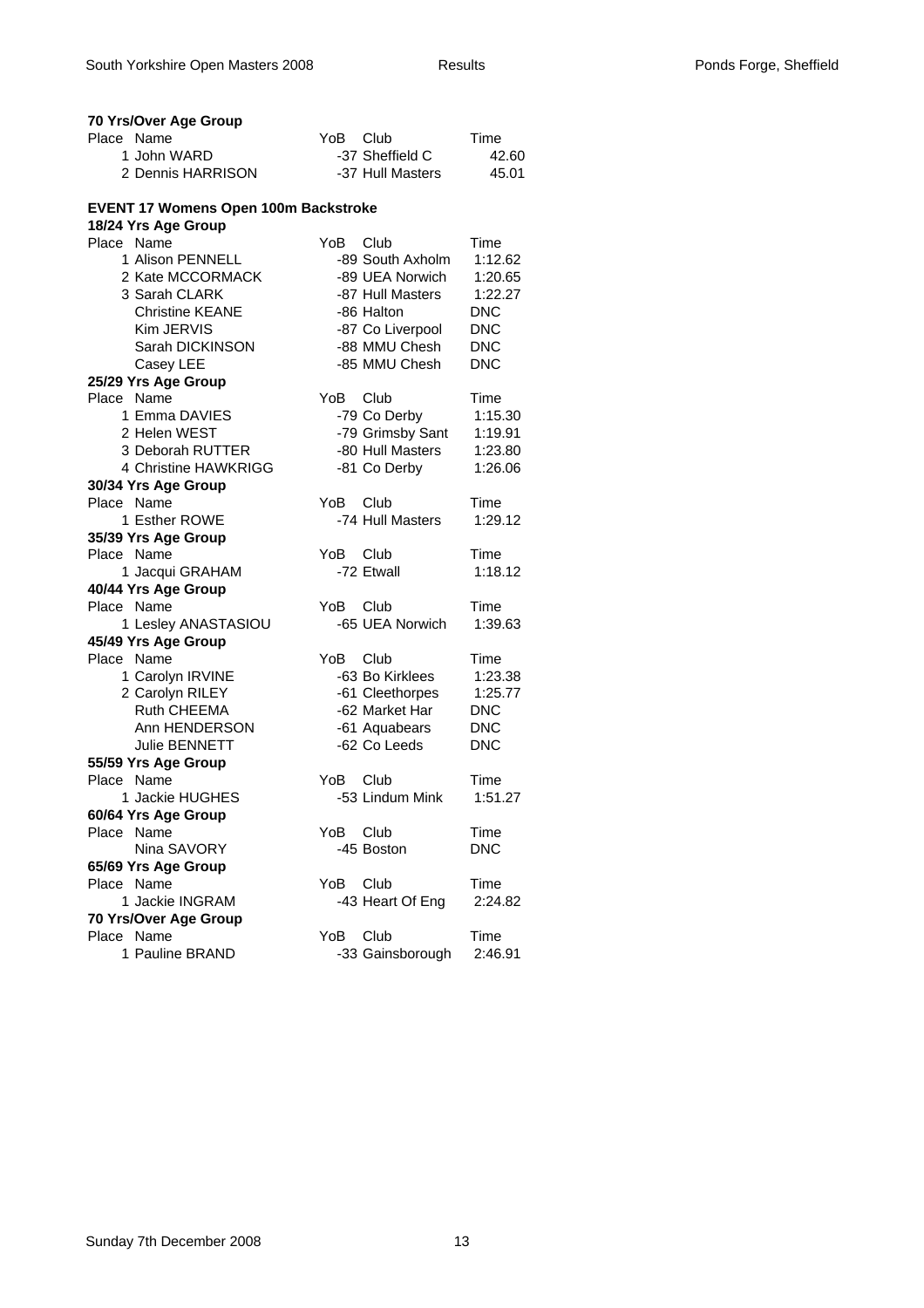| 70 Yrs/Over Age Group                       |                                |
|---------------------------------------------|--------------------------------|
| Place Name                                  | YoB Club<br>Time               |
| 1 John WARD                                 | -37 Sheffield C<br>42.60       |
| 2 Dennis HARRISON                           | -37 Hull Masters<br>45.01      |
| <b>EVENT 17 Womens Open 100m Backstroke</b> |                                |
| 18/24 Yrs Age Group                         |                                |
| Place Name                                  | YoB.<br>Club<br>Time           |
| 1 Alison PENNELL                            | -89 South Axholm<br>1:12.62    |
| 2 Kate MCCORMACK                            | -89 UEA Norwich<br>1:20.65     |
| 3 Sarah CLARK                               | -87 Hull Masters<br>1:22.27    |
| <b>Christine KEANE</b>                      | <b>DNC</b><br>-86 Halton       |
| Kim JERVIS                                  | <b>DNC</b><br>-87 Co Liverpool |
| Sarah DICKINSON                             | -88 MMU Chesh<br><b>DNC</b>    |
| Casey LEE                                   | -85 MMU Chesh<br><b>DNC</b>    |
| 25/29 Yrs Age Group                         |                                |
| Place Name                                  | YoB.<br>Time<br>Club           |
| 1 Emma DAVIES                               | -79 Co Derby<br>1:15.30        |
| 2 Helen WEST                                | -79 Grimsby Sant<br>1:19.91    |
| 3 Deborah RUTTER                            | -80 Hull Masters<br>1:23.80    |
| 4 Christine HAWKRIGG                        | -81 Co Derby<br>1:26.06        |
| 30/34 Yrs Age Group                         |                                |
| Place Name                                  | Club<br>YoB.<br>Time           |
| 1 Esther ROWE                               | -74 Hull Masters<br>1:29.12    |
| 35/39 Yrs Age Group                         |                                |
| Place Name                                  | YoB.<br>Club<br>Time           |
| 1 Jacqui GRAHAM                             | -72 Etwall<br>1:18.12          |
| 40/44 Yrs Age Group                         |                                |
| Place Name                                  | YoB.<br>Club<br>Time           |
| 1 Lesley ANASTASIOU                         | -65 UEA Norwich<br>1:39.63     |
| 45/49 Yrs Age Group                         |                                |
| Place Name                                  | YoB.<br>Club<br>Time           |
| 1 Carolyn IRVINE                            | -63 Bo Kirklees<br>1:23.38     |
| 2 Carolyn RILEY                             | -61 Cleethorpes<br>1:25.77     |
| Ruth CHEEMA                                 | -62 Market Har<br><b>DNC</b>   |
| Ann HENDERSON                               | -61 Aquabears<br><b>DNC</b>    |
| Julie BENNETT                               | -62 Co Leeds<br><b>DNC</b>     |
| 55/59 Yrs Age Group                         |                                |
| Place Name                                  | YoB.<br>Club<br>Time           |
| 1 Jackie HUGHES                             | -53 Lindum Mink<br>1:51.27     |
| 60/64 Yrs Age Group<br>Place<br>Name        | Club<br>Time<br>YoB            |
| Nina SAVORY                                 | -45 Boston<br><b>DNC</b>       |
|                                             |                                |
| 65/69 Yrs Age Group<br>Place Name           | YoB.<br>Club<br>Time           |
| 1 Jackie INGRAM                             | 2:24.82<br>-43 Heart Of Eng    |
| 70 Yrs/Over Age Group                       |                                |
| Place Name                                  | Club<br>YoB<br>Time            |
| 1 Pauline BRAND                             | -33 Gainsborough<br>2:46.91    |
|                                             |                                |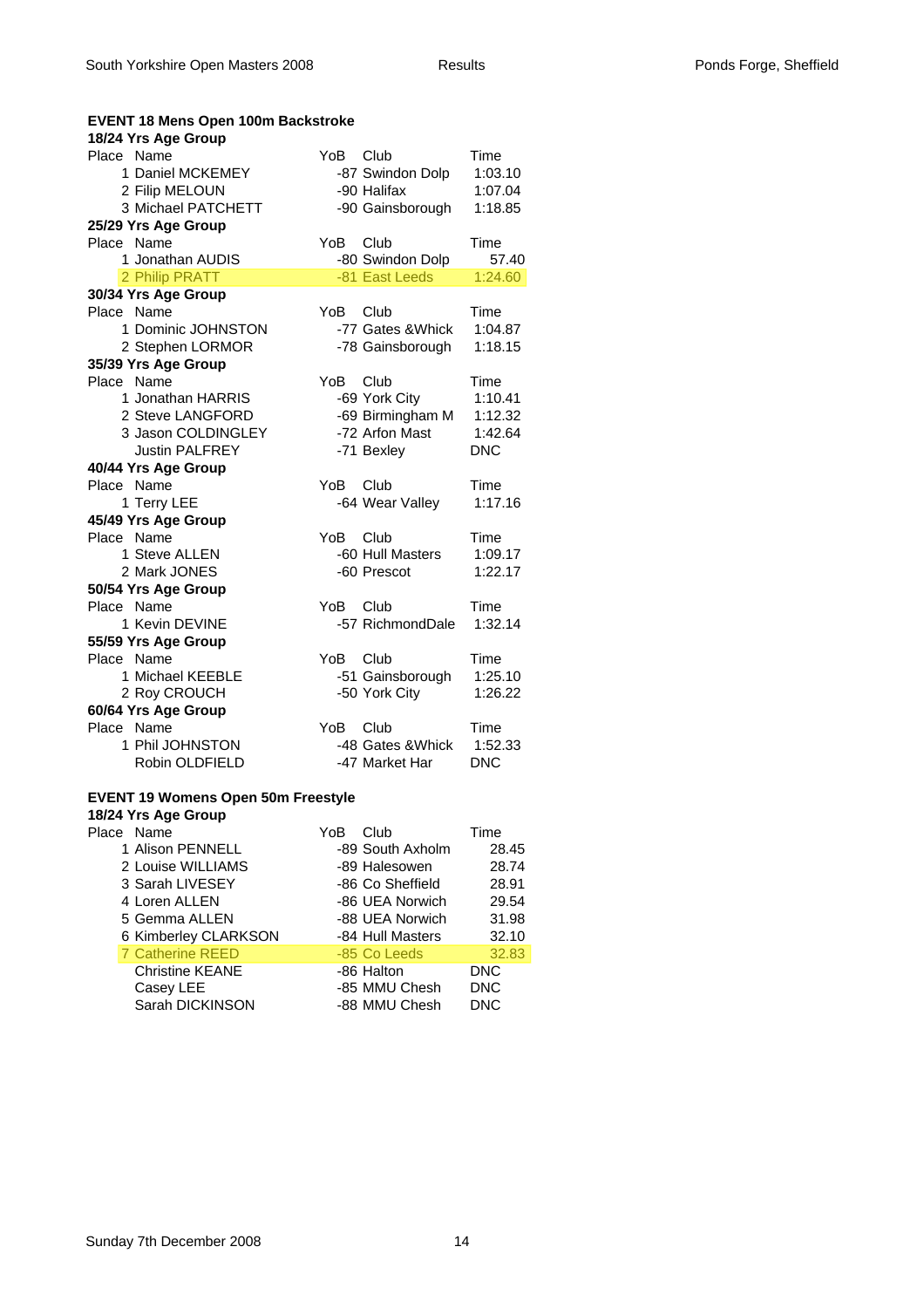| <b>EVENT 18 Mens Open 100m Backstroke</b> |      |                   |            |
|-------------------------------------------|------|-------------------|------------|
| 18/24 Yrs Age Group                       |      |                   |            |
| Place Name                                | YoB  | Club              | Time       |
| 1 Daniel MCKEMEY                          |      | -87 Swindon Dolp  | 1:03.10    |
| 2 Filip MELOUN                            |      | -90 Halifax       | 1:07.04    |
| 3 Michael PATCHETT                        |      | -90 Gainsborough  | 1:18.85    |
| 25/29 Yrs Age Group                       |      |                   |            |
| Place Name                                | YoB  | Club              | Time       |
| 1 Jonathan AUDIS                          |      | -80 Swindon Dolp  | 57.40      |
| 2 Philip PRATT                            |      | -81 East Leeds    | 1:24.60    |
| 30/34 Yrs Age Group                       |      |                   |            |
| Place Name                                | YoB  | Club              | Time       |
| 1 Dominic JOHNSTON                        |      | -77 Gates & Whick | 1:04.87    |
| 2 Stephen LORMOR                          |      | -78 Gainsborough  | 1:18.15    |
| 35/39 Yrs Age Group                       |      |                   |            |
| Place Name                                | YoB  | Club              | Time       |
| 1 Jonathan HARRIS                         |      | -69 York City     | 1:10.41    |
| 2 Steve LANGFORD                          |      | -69 Birmingham M  | 1:12.32    |
| 3 Jason COLDINGLEY                        |      | -72 Arfon Mast    | 1:42.64    |
| <b>Justin PALFREY</b>                     |      | -71 Bexley        | <b>DNC</b> |
| 40/44 Yrs Age Group                       |      |                   |            |
| Place Name                                | YoB  | Club              | Time       |
| 1 Terry LEE                               |      | -64 Wear Valley   | 1:17.16    |
| 45/49 Yrs Age Group                       |      |                   |            |
| Place Name                                | YoB  | Club              | Time       |
| 1 Steve ALLEN                             |      | -60 Hull Masters  | 1:09.17    |
| 2 Mark JONES                              |      | -60 Prescot       | 1:22.17    |
| 50/54 Yrs Age Group                       |      |                   |            |
| Place Name                                | YoB. | Club              | Time       |
| 1 Kevin DEVINE                            |      | -57 RichmondDale  | 1:32.14    |
| 55/59 Yrs Age Group                       |      |                   |            |
| Place Name                                | YoB  | Club              | Time       |
| 1 Michael KEEBLE                          |      | -51 Gainsborough  | 1:25.10    |
| 2 Roy CROUCH                              |      | -50 York City     | 1:26.22    |
| 60/64 Yrs Age Group                       |      |                   |            |
| Place Name                                | YoB  | Club              | Time       |
| 1 Phil JOHNSTON                           |      | -48 Gates & Whick | 1:52.33    |
| Robin OLDFIELD                            |      | -47 Market Har    | <b>DNC</b> |
|                                           |      |                   |            |

#### **EVENT 19 Womens Open 50m Freestyle**

| 18/24 Yrs Age Group     |     |                  |            |
|-------------------------|-----|------------------|------------|
| Place Name              | YoB | Club             | Time       |
| 1 Alison PENNELL        |     | -89 South Axholm | 28.45      |
| 2 Louise WILLIAMS       |     | -89 Halesowen    | 28.74      |
| 3 Sarah LIVESEY         |     | -86 Co Sheffield | 28.91      |
| 4 Loren ALLEN           |     | -86 UEA Norwich  | 29.54      |
| 5 Gemma ALLEN           |     | -88 UEA Norwich  | 31.98      |
| 6 Kimberley CLARKSON    |     | -84 Hull Masters | 32.10      |
| <b>7 Catherine REED</b> |     | -85 Co Leeds     | 32.83      |
| <b>Christine KEANE</b>  |     | -86 Halton       | DNC.       |
| Casey LEE               |     | -85 MMU Chesh    | <b>DNC</b> |
| Sarah DICKINSON         |     | -88 MMU Chesh    | <b>DNC</b> |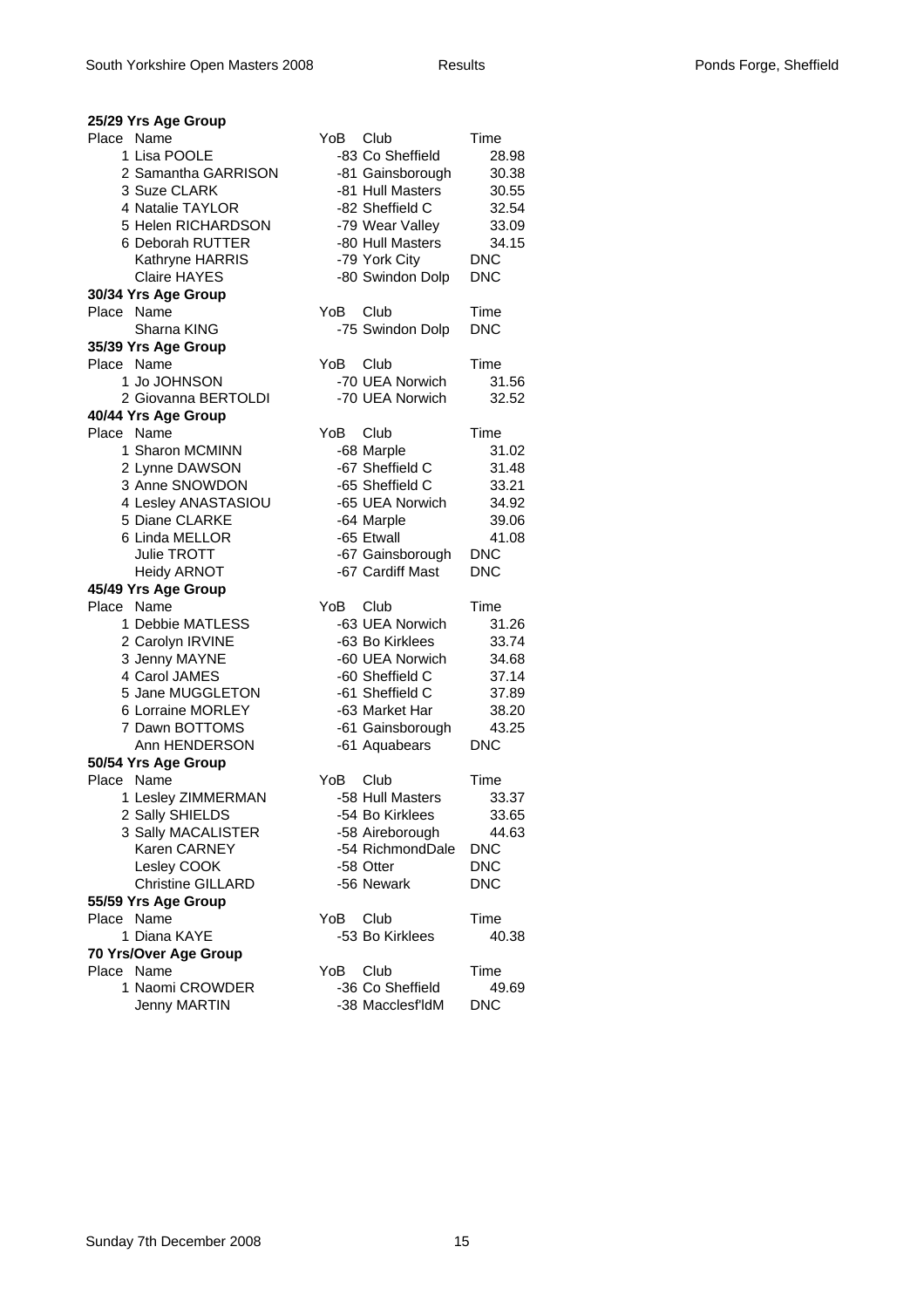| 25/29 Yrs Age Group                                                                                                                                                                                                                                                                                                       |                                                                                                                                                                                                                                                                                         |                                                                                                                                                      |
|---------------------------------------------------------------------------------------------------------------------------------------------------------------------------------------------------------------------------------------------------------------------------------------------------------------------------|-----------------------------------------------------------------------------------------------------------------------------------------------------------------------------------------------------------------------------------------------------------------------------------------|------------------------------------------------------------------------------------------------------------------------------------------------------|
| Place Name<br>1 Lisa POOLE<br>2 Samantha GARRISON<br>3 Suze CLARK<br>4 Natalie TAYLOR<br>5 Helen RICHARDSON<br>6 Deborah RUTTER<br>Kathryne HARRIS<br><b>Claire HAYES</b>                                                                                                                                                 | YoB<br>Club<br>-83 Co Sheffield<br>-81 Gainsborough<br>-81 Hull Masters<br>-82 Sheffield C<br>-79 Wear Valley<br>-80 Hull Masters<br>-79 York City<br>-80 Swindon Dolp                                                                                                                  | Time<br>28.98<br>30.38<br>30.55<br>32.54<br>33.09<br>34.15<br><b>DNC</b><br><b>DNC</b>                                                               |
| 30/34 Yrs Age Group                                                                                                                                                                                                                                                                                                       |                                                                                                                                                                                                                                                                                         |                                                                                                                                                      |
| Place Name                                                                                                                                                                                                                                                                                                                | Club<br>YoB.                                                                                                                                                                                                                                                                            | Time                                                                                                                                                 |
| Sharna KING                                                                                                                                                                                                                                                                                                               | -75 Swindon Dolp                                                                                                                                                                                                                                                                        | <b>DNC</b>                                                                                                                                           |
| 35/39 Yrs Age Group<br>Place Name                                                                                                                                                                                                                                                                                         | YoB.<br>Club                                                                                                                                                                                                                                                                            | Time                                                                                                                                                 |
| 1 Jo JOHNSON<br>2 Giovanna BERTOLDI                                                                                                                                                                                                                                                                                       | -70 UEA Norwich<br>-70 UEA Norwich                                                                                                                                                                                                                                                      | 31.56<br>32.52                                                                                                                                       |
| 40/44 Yrs Age Group                                                                                                                                                                                                                                                                                                       |                                                                                                                                                                                                                                                                                         |                                                                                                                                                      |
| Place Name<br>1 Sharon MCMINN<br>2 Lynne DAWSON<br>3 Anne SNOWDON<br>4 Lesley ANASTASIOU<br>5 Diane CLARKE<br>6 Linda MELLOR<br>Julie TROTT<br><b>Heidy ARNOT</b><br>45/49 Yrs Age Group<br>Place Name<br>1 Debbie MATLESS<br>2 Carolyn IRVINE<br>3 Jenny MAYNE<br>4 Carol JAMES<br>5 Jane MUGGLETON<br>6 Lorraine MORLEY | YoB<br>Club<br>-68 Marple<br>-67 Sheffield C<br>-65 Sheffield C<br>-65 UEA Norwich<br>-64 Marple<br>-65 Etwall<br>-67 Gainsborough<br>-67 Cardiff Mast<br>YoB.<br>Club<br>-63 UEA Norwich<br>-63 Bo Kirklees<br>-60 UEA Norwich<br>-60 Sheffield C<br>-61 Sheffield C<br>-63 Market Har | Time<br>31.02<br>31.48<br>33.21<br>34.92<br>39.06<br>41.08<br><b>DNC</b><br><b>DNC</b><br>Time<br>31.26<br>33.74<br>34.68<br>37.14<br>37.89<br>38.20 |
| 7 Dawn BOTTOMS<br>Ann HENDERSON                                                                                                                                                                                                                                                                                           | -61 Gainsborough<br>-61 Aquabears                                                                                                                                                                                                                                                       | 43.25<br><b>DNC</b>                                                                                                                                  |
| 50/54 Yrs Age Group                                                                                                                                                                                                                                                                                                       |                                                                                                                                                                                                                                                                                         |                                                                                                                                                      |
| Place Name<br>1 Lesley ZIMMERMAN<br>2 Sally SHIELDS<br>3 Sally MACALISTER<br>Karen CARNEY<br>Lesley COOK<br><b>Christine GILLARD</b>                                                                                                                                                                                      | YoB<br>Club<br>-58 Hull Masters<br>-54 Bo Kirklees<br>-58 Aireborough<br>-54 RichmondDale<br>-58 Otter<br>-56 Newark                                                                                                                                                                    | Time<br>33.37<br>33.65<br>44.63<br><b>DNC</b><br><b>DNC</b><br><b>DNC</b>                                                                            |
| 55/59 Yrs Age Group                                                                                                                                                                                                                                                                                                       |                                                                                                                                                                                                                                                                                         |                                                                                                                                                      |
| Place Name<br>1 Diana KAYE                                                                                                                                                                                                                                                                                                | Club<br>YoB.                                                                                                                                                                                                                                                                            | Time                                                                                                                                                 |
|                                                                                                                                                                                                                                                                                                                           | -53 Bo Kirklees                                                                                                                                                                                                                                                                         | 40.38                                                                                                                                                |
| 70 Yrs/Over Age Group<br>Place Name                                                                                                                                                                                                                                                                                       | YoB<br>Club                                                                                                                                                                                                                                                                             | Time                                                                                                                                                 |
| 1 Naomi CROWDER<br><b>Jenny MARTIN</b>                                                                                                                                                                                                                                                                                    | -36 Co Sheffield<br>-38 Macclesf'ldM                                                                                                                                                                                                                                                    | 49.69<br><b>DNC</b>                                                                                                                                  |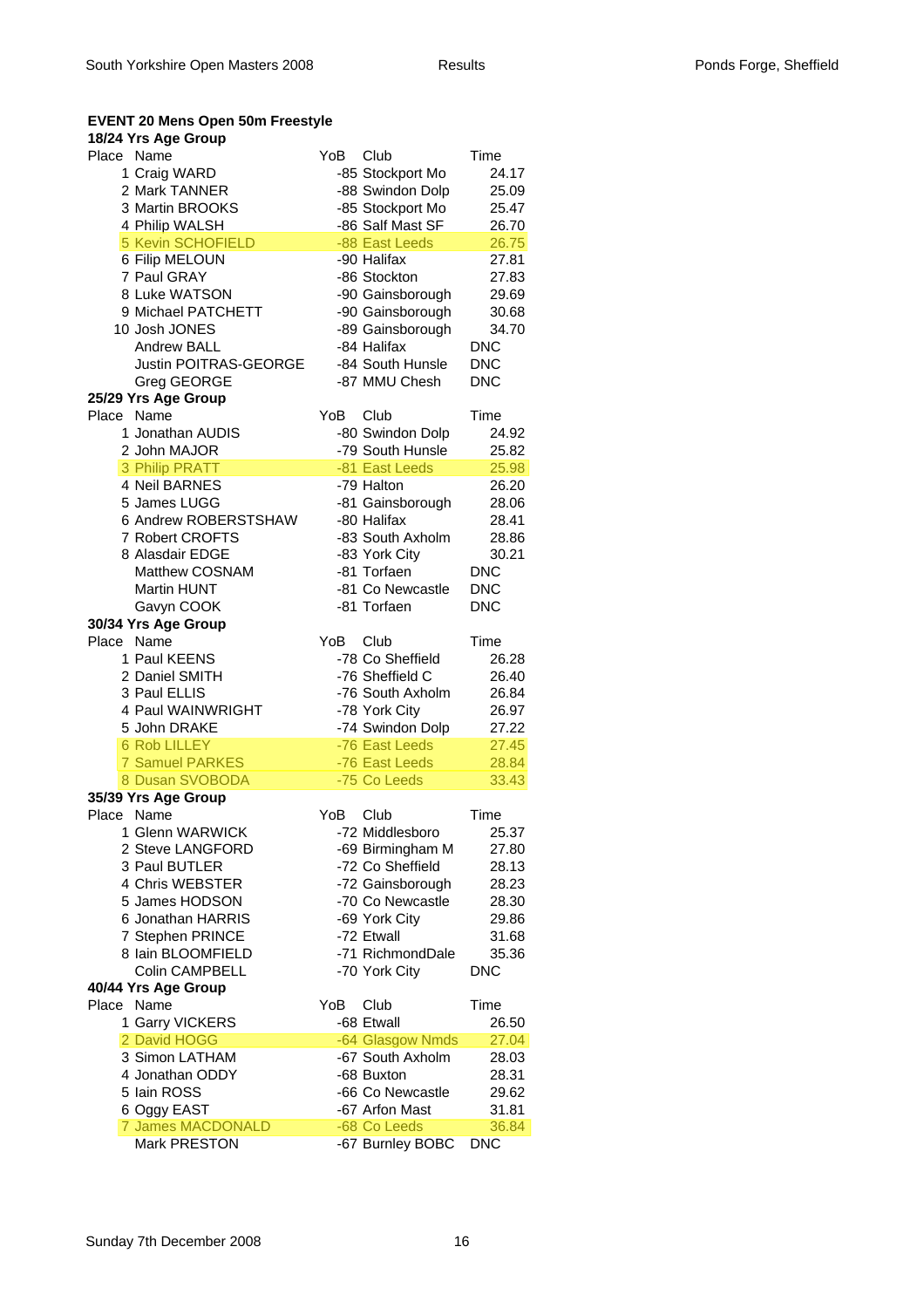#### **EVENT 20 Mens Open 50m Freestyle**

#### **18/24 Yrs Age Group**

| שט שפח טווי דא<br>Place Name | YoB<br>Club      | Time       |
|------------------------------|------------------|------------|
| 1 Craig WARD                 | -85 Stockport Mo | 24.17      |
| 2 Mark TANNER                | -88 Swindon Dolp | 25.09      |
| 3 Martin BROOKS              | -85 Stockport Mo | 25.47      |
| 4 Philip WALSH               | -86 Salf Mast SF | 26.70      |
| 5 Kevin SCHOFIELD            | -88 East Leeds   | 26.75      |
| 6 Filip MELOUN               | -90 Halifax      | 27.81      |
| 7 Paul GRAY                  | -86 Stockton     | 27.83      |
| 8 Luke WATSON                | -90 Gainsborough | 29.69      |
| 9 Michael PATCHETT           | -90 Gainsborough | 30.68      |
| 10 Josh JONES                | -89 Gainsborough | 34.70      |
| <b>Andrew BALL</b>           | -84 Halifax      | <b>DNC</b> |
| <b>Justin POITRAS-GEORGE</b> | -84 South Hunsle | <b>DNC</b> |
| Greg GEORGE                  | -87 MMU Chesh    | <b>DNC</b> |
| 25/29 Yrs Age Group          |                  |            |
| Place Name                   | YoB<br>Club      | Time       |
| 1 Jonathan AUDIS             | -80 Swindon Dolp | 24.92      |
| 2 John MAJOR                 | -79 South Hunsle | 25.82      |
| 3 Philip PRATT               | -81 East Leeds   | 25.98      |
| 4 Neil BARNES                | -79 Halton       | 26.20      |
| 5 James LUGG                 | -81 Gainsborough | 28.06      |
| 6 Andrew ROBERSTSHAW         | -80 Halifax      | 28.41      |
| 7 Robert CROFTS              | -83 South Axholm | 28.86      |
| 8 Alasdair EDGE              | -83 York City    | 30.21      |
| Matthew COSNAM               | -81 Torfaen      | <b>DNC</b> |
| Martin HUNT                  | -81 Co Newcastle | <b>DNC</b> |
| Gavyn COOK                   | -81 Torfaen      | <b>DNC</b> |
| 30/34 Yrs Age Group          |                  |            |
| Place Name                   | YoB<br>Club      | Time       |
| 1 Paul KEENS                 | -78 Co Sheffield | 26.28      |
| 2 Daniel SMITH               | -76 Sheffield C  | 26.40      |
| 3 Paul ELLIS                 | -76 South Axholm | 26.84      |
| 4 Paul WAINWRIGHT            | -78 York City    | 26.97      |
| 5 John DRAKE                 | -74 Swindon Dolp | 27.22      |
| <b>6 Rob LILLEY</b>          | -76 East Leeds   | 27.45      |
| <b>7 Samuel PARKES</b>       | -76 East Leeds   | 28.84      |
| 8 Dusan SVOBODA              | -75 Co Leeds     | 33.43      |
| 35/39 Yrs Age Group          |                  |            |
| Place Name                   | YoB<br>Club      | Time       |
| 1 Glenn WARWICK              | -72 Middlesboro  | 25.37      |
| 2 Steve LANGFORD             | -69 Birmingham M | 27.80      |
| 3 Paul BUTLER                | -72 Co Sheffield | 28.13      |
| 4 Chris WEBSTER              | -72 Gainsborough | 28.23      |
| 5 James HODSON               | -70 Co Newcastle | 28.30      |
| 6 Jonathan HARRIS            | -69 York City    | 29.86      |
| 7 Stephen PRINCE             | -72 Etwall       | 31.68      |
| 8 Iain BLOOMFIELD            | -71 RichmondDale | 35.36      |
| <b>Colin CAMPBELL</b>        | -70 York City    | <b>DNC</b> |
| 40/44 Yrs Age Group          |                  |            |
| Place Name                   | YoB<br>Club      | Time       |
| 1 Garry VICKERS              | -68 Etwall       | 26.50      |
| 2 David HOGG                 | -64 Glasgow Nmds | 27.04      |
| 3 Simon LATHAM               | -67 South Axholm | 28.03      |
| 4 Jonathan ODDY              | -68 Buxton       | 28.31      |
| 5 Iain ROSS                  | -66 Co Newcastle | 29.62      |
| 6 Oggy EAST                  | -67 Arfon Mast   | 31.81      |
| <b>7 James MACDONALD</b>     | -68 Co Leeds     | 36.84      |
| Mark PRESTON                 | -67 Burnley BOBC | <b>DNC</b> |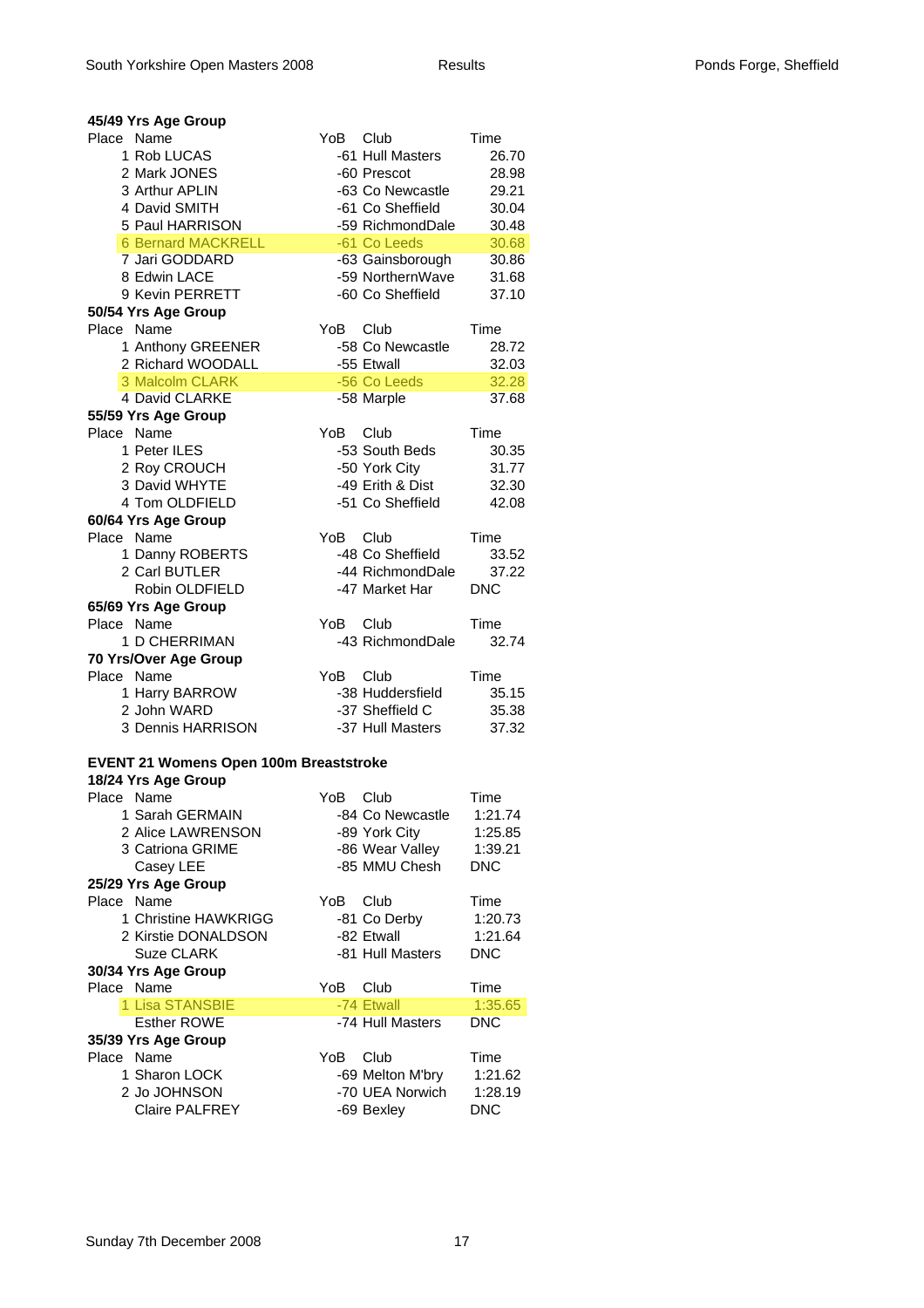| YoB.<br>Time<br>1 Rob LUCAS<br>-61 Hull Masters<br>26.70<br>2 Mark JONES<br>-60 Prescot<br>28.98<br>3 Arthur APLIN<br>-63 Co Newcastle<br>29.21<br>4 David SMITH<br>-61 Co Sheffield<br>30.04<br>5 Paul HARRISON<br>-59 RichmondDale<br>30.48<br><b>6 Bernard MACKRELL</b><br>-61 Co Leeds<br>30.68<br>7 Jari GODDARD<br>-63 Gainsborough<br>30.86<br>-59 NorthernWave<br>8 Edwin LACE<br>31.68<br>9 Kevin PERRETT<br>-60 Co Sheffield<br>37.10<br>50/54 Yrs Age Group<br>Place Name<br>YoB.<br>– Club<br>Time<br>1 Anthony GREENER<br>-58 Co Newcastle<br>28.72<br>2 Richard WOODALL<br>-55 Etwall<br>32.03<br>3 Malcolm CLARK<br>-56 Co Leeds<br>32.28<br>4 David CLARKE<br>-58 Marple<br>37.68<br>55/59 Yrs Age Group<br>Place Name<br>YoB<br>Club<br>Time<br>1 Peter ILES<br>-53 South Beds<br>30.35<br>2 Roy CROUCH<br>-50 York City<br>31.77<br>3 David WHYTE<br>-49 Erith & Dist<br>32.30<br>4 Tom OLDFIELD<br>-51 Co Sheffield<br>42.08<br>60/64 Yrs Age Group<br>Place Name<br>YoB<br>Club<br>Time<br>-48 Co Sheffield<br>1 Danny ROBERTS<br>33.52<br>2 Carl BUTLER<br>-44 RichmondDale<br>37.22<br>Robin OLDFIELD<br>-47 Market Har<br><b>DNC</b><br>65/69 Yrs Age Group<br>Place Name<br>YoB<br>Club<br>Time<br>-43 RichmondDale<br>1 D CHERRIMAN<br>32.74<br>70 Yrs/Over Age Group<br>Place Name<br>YoB.<br>Club<br>Time<br>1 Harry BARROW<br>-38 Huddersfield<br>35.15<br>2 John WARD<br>-37 Sheffield C<br>35.38<br>3 Dennis HARRISON<br>-37 Hull Masters<br>37.32<br><b>EVENT 21 Womens Open 100m Breaststroke</b><br>18/24 Yrs Age Group<br>Place Name<br>YoB<br>Club<br>Time<br>1 Sarah GERMAIN<br>-84 Co Newcastle<br>1:21.74<br>2 Alice LAWRENSON<br>-89 York City<br>1:25.85<br>3 Catriona GRIME<br>-86 Wear Valley<br>1:39.21<br>-85 MMU Chesh<br>Casey LEE<br>DNC<br>25/29 Yrs Age Group<br>Place Name<br>Club<br>YoB.<br>Time<br>1 Christine HAWKRIGG<br>-81 Co Derby<br>1:20.73<br>-82 Etwall<br>2 Kirstie DONALDSON<br>1:21.64<br><b>Suze CLARK</b><br>-81 Hull Masters<br><b>DNC</b><br>30/34 Yrs Age Group<br>Place Name<br>YoB<br>Time<br>Club<br>1 Lisa STANSBIE<br>-74 Ftwall<br>1:35.65<br><b>Esther ROWE</b><br>-74 Hull Masters<br><b>DNC</b><br>35/39 Yrs Age Group<br>Place Name<br>Club<br>YoB<br>Time<br>1 Sharon LOCK<br>-69 Melton M'bry<br>1:21.62<br>-70 UEA Norwich<br>2 Jo JOHNSON<br>1:28.19<br>-69 Bexley | 45/49 Yrs Age Group |      |            |
|--------------------------------------------------------------------------------------------------------------------------------------------------------------------------------------------------------------------------------------------------------------------------------------------------------------------------------------------------------------------------------------------------------------------------------------------------------------------------------------------------------------------------------------------------------------------------------------------------------------------------------------------------------------------------------------------------------------------------------------------------------------------------------------------------------------------------------------------------------------------------------------------------------------------------------------------------------------------------------------------------------------------------------------------------------------------------------------------------------------------------------------------------------------------------------------------------------------------------------------------------------------------------------------------------------------------------------------------------------------------------------------------------------------------------------------------------------------------------------------------------------------------------------------------------------------------------------------------------------------------------------------------------------------------------------------------------------------------------------------------------------------------------------------------------------------------------------------------------------------------------------------------------------------------------------------------------------------------------------------------------------------------------------------------------------------------------------------------------------------------------------------------------------------------------------------------------------------------------------------------------------------------------------------------------------------------------------------------------------|---------------------|------|------------|
|                                                                                                                                                                                                                                                                                                                                                                                                                                                                                                                                                                                                                                                                                                                                                                                                                                                                                                                                                                                                                                                                                                                                                                                                                                                                                                                                                                                                                                                                                                                                                                                                                                                                                                                                                                                                                                                                                                                                                                                                                                                                                                                                                                                                                                                                                                                                                        | Place Name          | Club |            |
|                                                                                                                                                                                                                                                                                                                                                                                                                                                                                                                                                                                                                                                                                                                                                                                                                                                                                                                                                                                                                                                                                                                                                                                                                                                                                                                                                                                                                                                                                                                                                                                                                                                                                                                                                                                                                                                                                                                                                                                                                                                                                                                                                                                                                                                                                                                                                        |                     |      |            |
|                                                                                                                                                                                                                                                                                                                                                                                                                                                                                                                                                                                                                                                                                                                                                                                                                                                                                                                                                                                                                                                                                                                                                                                                                                                                                                                                                                                                                                                                                                                                                                                                                                                                                                                                                                                                                                                                                                                                                                                                                                                                                                                                                                                                                                                                                                                                                        |                     |      |            |
|                                                                                                                                                                                                                                                                                                                                                                                                                                                                                                                                                                                                                                                                                                                                                                                                                                                                                                                                                                                                                                                                                                                                                                                                                                                                                                                                                                                                                                                                                                                                                                                                                                                                                                                                                                                                                                                                                                                                                                                                                                                                                                                                                                                                                                                                                                                                                        |                     |      |            |
|                                                                                                                                                                                                                                                                                                                                                                                                                                                                                                                                                                                                                                                                                                                                                                                                                                                                                                                                                                                                                                                                                                                                                                                                                                                                                                                                                                                                                                                                                                                                                                                                                                                                                                                                                                                                                                                                                                                                                                                                                                                                                                                                                                                                                                                                                                                                                        |                     |      |            |
|                                                                                                                                                                                                                                                                                                                                                                                                                                                                                                                                                                                                                                                                                                                                                                                                                                                                                                                                                                                                                                                                                                                                                                                                                                                                                                                                                                                                                                                                                                                                                                                                                                                                                                                                                                                                                                                                                                                                                                                                                                                                                                                                                                                                                                                                                                                                                        |                     |      |            |
|                                                                                                                                                                                                                                                                                                                                                                                                                                                                                                                                                                                                                                                                                                                                                                                                                                                                                                                                                                                                                                                                                                                                                                                                                                                                                                                                                                                                                                                                                                                                                                                                                                                                                                                                                                                                                                                                                                                                                                                                                                                                                                                                                                                                                                                                                                                                                        |                     |      |            |
|                                                                                                                                                                                                                                                                                                                                                                                                                                                                                                                                                                                                                                                                                                                                                                                                                                                                                                                                                                                                                                                                                                                                                                                                                                                                                                                                                                                                                                                                                                                                                                                                                                                                                                                                                                                                                                                                                                                                                                                                                                                                                                                                                                                                                                                                                                                                                        |                     |      |            |
|                                                                                                                                                                                                                                                                                                                                                                                                                                                                                                                                                                                                                                                                                                                                                                                                                                                                                                                                                                                                                                                                                                                                                                                                                                                                                                                                                                                                                                                                                                                                                                                                                                                                                                                                                                                                                                                                                                                                                                                                                                                                                                                                                                                                                                                                                                                                                        |                     |      |            |
|                                                                                                                                                                                                                                                                                                                                                                                                                                                                                                                                                                                                                                                                                                                                                                                                                                                                                                                                                                                                                                                                                                                                                                                                                                                                                                                                                                                                                                                                                                                                                                                                                                                                                                                                                                                                                                                                                                                                                                                                                                                                                                                                                                                                                                                                                                                                                        |                     |      |            |
|                                                                                                                                                                                                                                                                                                                                                                                                                                                                                                                                                                                                                                                                                                                                                                                                                                                                                                                                                                                                                                                                                                                                                                                                                                                                                                                                                                                                                                                                                                                                                                                                                                                                                                                                                                                                                                                                                                                                                                                                                                                                                                                                                                                                                                                                                                                                                        |                     |      |            |
|                                                                                                                                                                                                                                                                                                                                                                                                                                                                                                                                                                                                                                                                                                                                                                                                                                                                                                                                                                                                                                                                                                                                                                                                                                                                                                                                                                                                                                                                                                                                                                                                                                                                                                                                                                                                                                                                                                                                                                                                                                                                                                                                                                                                                                                                                                                                                        |                     |      |            |
|                                                                                                                                                                                                                                                                                                                                                                                                                                                                                                                                                                                                                                                                                                                                                                                                                                                                                                                                                                                                                                                                                                                                                                                                                                                                                                                                                                                                                                                                                                                                                                                                                                                                                                                                                                                                                                                                                                                                                                                                                                                                                                                                                                                                                                                                                                                                                        |                     |      |            |
|                                                                                                                                                                                                                                                                                                                                                                                                                                                                                                                                                                                                                                                                                                                                                                                                                                                                                                                                                                                                                                                                                                                                                                                                                                                                                                                                                                                                                                                                                                                                                                                                                                                                                                                                                                                                                                                                                                                                                                                                                                                                                                                                                                                                                                                                                                                                                        |                     |      |            |
|                                                                                                                                                                                                                                                                                                                                                                                                                                                                                                                                                                                                                                                                                                                                                                                                                                                                                                                                                                                                                                                                                                                                                                                                                                                                                                                                                                                                                                                                                                                                                                                                                                                                                                                                                                                                                                                                                                                                                                                                                                                                                                                                                                                                                                                                                                                                                        |                     |      |            |
|                                                                                                                                                                                                                                                                                                                                                                                                                                                                                                                                                                                                                                                                                                                                                                                                                                                                                                                                                                                                                                                                                                                                                                                                                                                                                                                                                                                                                                                                                                                                                                                                                                                                                                                                                                                                                                                                                                                                                                                                                                                                                                                                                                                                                                                                                                                                                        |                     |      |            |
|                                                                                                                                                                                                                                                                                                                                                                                                                                                                                                                                                                                                                                                                                                                                                                                                                                                                                                                                                                                                                                                                                                                                                                                                                                                                                                                                                                                                                                                                                                                                                                                                                                                                                                                                                                                                                                                                                                                                                                                                                                                                                                                                                                                                                                                                                                                                                        |                     |      |            |
|                                                                                                                                                                                                                                                                                                                                                                                                                                                                                                                                                                                                                                                                                                                                                                                                                                                                                                                                                                                                                                                                                                                                                                                                                                                                                                                                                                                                                                                                                                                                                                                                                                                                                                                                                                                                                                                                                                                                                                                                                                                                                                                                                                                                                                                                                                                                                        |                     |      |            |
|                                                                                                                                                                                                                                                                                                                                                                                                                                                                                                                                                                                                                                                                                                                                                                                                                                                                                                                                                                                                                                                                                                                                                                                                                                                                                                                                                                                                                                                                                                                                                                                                                                                                                                                                                                                                                                                                                                                                                                                                                                                                                                                                                                                                                                                                                                                                                        |                     |      |            |
|                                                                                                                                                                                                                                                                                                                                                                                                                                                                                                                                                                                                                                                                                                                                                                                                                                                                                                                                                                                                                                                                                                                                                                                                                                                                                                                                                                                                                                                                                                                                                                                                                                                                                                                                                                                                                                                                                                                                                                                                                                                                                                                                                                                                                                                                                                                                                        |                     |      |            |
|                                                                                                                                                                                                                                                                                                                                                                                                                                                                                                                                                                                                                                                                                                                                                                                                                                                                                                                                                                                                                                                                                                                                                                                                                                                                                                                                                                                                                                                                                                                                                                                                                                                                                                                                                                                                                                                                                                                                                                                                                                                                                                                                                                                                                                                                                                                                                        |                     |      |            |
|                                                                                                                                                                                                                                                                                                                                                                                                                                                                                                                                                                                                                                                                                                                                                                                                                                                                                                                                                                                                                                                                                                                                                                                                                                                                                                                                                                                                                                                                                                                                                                                                                                                                                                                                                                                                                                                                                                                                                                                                                                                                                                                                                                                                                                                                                                                                                        |                     |      |            |
|                                                                                                                                                                                                                                                                                                                                                                                                                                                                                                                                                                                                                                                                                                                                                                                                                                                                                                                                                                                                                                                                                                                                                                                                                                                                                                                                                                                                                                                                                                                                                                                                                                                                                                                                                                                                                                                                                                                                                                                                                                                                                                                                                                                                                                                                                                                                                        |                     |      |            |
|                                                                                                                                                                                                                                                                                                                                                                                                                                                                                                                                                                                                                                                                                                                                                                                                                                                                                                                                                                                                                                                                                                                                                                                                                                                                                                                                                                                                                                                                                                                                                                                                                                                                                                                                                                                                                                                                                                                                                                                                                                                                                                                                                                                                                                                                                                                                                        |                     |      |            |
|                                                                                                                                                                                                                                                                                                                                                                                                                                                                                                                                                                                                                                                                                                                                                                                                                                                                                                                                                                                                                                                                                                                                                                                                                                                                                                                                                                                                                                                                                                                                                                                                                                                                                                                                                                                                                                                                                                                                                                                                                                                                                                                                                                                                                                                                                                                                                        |                     |      |            |
|                                                                                                                                                                                                                                                                                                                                                                                                                                                                                                                                                                                                                                                                                                                                                                                                                                                                                                                                                                                                                                                                                                                                                                                                                                                                                                                                                                                                                                                                                                                                                                                                                                                                                                                                                                                                                                                                                                                                                                                                                                                                                                                                                                                                                                                                                                                                                        |                     |      |            |
|                                                                                                                                                                                                                                                                                                                                                                                                                                                                                                                                                                                                                                                                                                                                                                                                                                                                                                                                                                                                                                                                                                                                                                                                                                                                                                                                                                                                                                                                                                                                                                                                                                                                                                                                                                                                                                                                                                                                                                                                                                                                                                                                                                                                                                                                                                                                                        |                     |      |            |
|                                                                                                                                                                                                                                                                                                                                                                                                                                                                                                                                                                                                                                                                                                                                                                                                                                                                                                                                                                                                                                                                                                                                                                                                                                                                                                                                                                                                                                                                                                                                                                                                                                                                                                                                                                                                                                                                                                                                                                                                                                                                                                                                                                                                                                                                                                                                                        |                     |      |            |
|                                                                                                                                                                                                                                                                                                                                                                                                                                                                                                                                                                                                                                                                                                                                                                                                                                                                                                                                                                                                                                                                                                                                                                                                                                                                                                                                                                                                                                                                                                                                                                                                                                                                                                                                                                                                                                                                                                                                                                                                                                                                                                                                                                                                                                                                                                                                                        |                     |      |            |
|                                                                                                                                                                                                                                                                                                                                                                                                                                                                                                                                                                                                                                                                                                                                                                                                                                                                                                                                                                                                                                                                                                                                                                                                                                                                                                                                                                                                                                                                                                                                                                                                                                                                                                                                                                                                                                                                                                                                                                                                                                                                                                                                                                                                                                                                                                                                                        |                     |      |            |
|                                                                                                                                                                                                                                                                                                                                                                                                                                                                                                                                                                                                                                                                                                                                                                                                                                                                                                                                                                                                                                                                                                                                                                                                                                                                                                                                                                                                                                                                                                                                                                                                                                                                                                                                                                                                                                                                                                                                                                                                                                                                                                                                                                                                                                                                                                                                                        |                     |      |            |
|                                                                                                                                                                                                                                                                                                                                                                                                                                                                                                                                                                                                                                                                                                                                                                                                                                                                                                                                                                                                                                                                                                                                                                                                                                                                                                                                                                                                                                                                                                                                                                                                                                                                                                                                                                                                                                                                                                                                                                                                                                                                                                                                                                                                                                                                                                                                                        |                     |      |            |
|                                                                                                                                                                                                                                                                                                                                                                                                                                                                                                                                                                                                                                                                                                                                                                                                                                                                                                                                                                                                                                                                                                                                                                                                                                                                                                                                                                                                                                                                                                                                                                                                                                                                                                                                                                                                                                                                                                                                                                                                                                                                                                                                                                                                                                                                                                                                                        |                     |      |            |
|                                                                                                                                                                                                                                                                                                                                                                                                                                                                                                                                                                                                                                                                                                                                                                                                                                                                                                                                                                                                                                                                                                                                                                                                                                                                                                                                                                                                                                                                                                                                                                                                                                                                                                                                                                                                                                                                                                                                                                                                                                                                                                                                                                                                                                                                                                                                                        |                     |      |            |
|                                                                                                                                                                                                                                                                                                                                                                                                                                                                                                                                                                                                                                                                                                                                                                                                                                                                                                                                                                                                                                                                                                                                                                                                                                                                                                                                                                                                                                                                                                                                                                                                                                                                                                                                                                                                                                                                                                                                                                                                                                                                                                                                                                                                                                                                                                                                                        |                     |      |            |
|                                                                                                                                                                                                                                                                                                                                                                                                                                                                                                                                                                                                                                                                                                                                                                                                                                                                                                                                                                                                                                                                                                                                                                                                                                                                                                                                                                                                                                                                                                                                                                                                                                                                                                                                                                                                                                                                                                                                                                                                                                                                                                                                                                                                                                                                                                                                                        |                     |      |            |
|                                                                                                                                                                                                                                                                                                                                                                                                                                                                                                                                                                                                                                                                                                                                                                                                                                                                                                                                                                                                                                                                                                                                                                                                                                                                                                                                                                                                                                                                                                                                                                                                                                                                                                                                                                                                                                                                                                                                                                                                                                                                                                                                                                                                                                                                                                                                                        |                     |      |            |
|                                                                                                                                                                                                                                                                                                                                                                                                                                                                                                                                                                                                                                                                                                                                                                                                                                                                                                                                                                                                                                                                                                                                                                                                                                                                                                                                                                                                                                                                                                                                                                                                                                                                                                                                                                                                                                                                                                                                                                                                                                                                                                                                                                                                                                                                                                                                                        |                     |      |            |
|                                                                                                                                                                                                                                                                                                                                                                                                                                                                                                                                                                                                                                                                                                                                                                                                                                                                                                                                                                                                                                                                                                                                                                                                                                                                                                                                                                                                                                                                                                                                                                                                                                                                                                                                                                                                                                                                                                                                                                                                                                                                                                                                                                                                                                                                                                                                                        |                     |      |            |
|                                                                                                                                                                                                                                                                                                                                                                                                                                                                                                                                                                                                                                                                                                                                                                                                                                                                                                                                                                                                                                                                                                                                                                                                                                                                                                                                                                                                                                                                                                                                                                                                                                                                                                                                                                                                                                                                                                                                                                                                                                                                                                                                                                                                                                                                                                                                                        |                     |      |            |
|                                                                                                                                                                                                                                                                                                                                                                                                                                                                                                                                                                                                                                                                                                                                                                                                                                                                                                                                                                                                                                                                                                                                                                                                                                                                                                                                                                                                                                                                                                                                                                                                                                                                                                                                                                                                                                                                                                                                                                                                                                                                                                                                                                                                                                                                                                                                                        |                     |      |            |
|                                                                                                                                                                                                                                                                                                                                                                                                                                                                                                                                                                                                                                                                                                                                                                                                                                                                                                                                                                                                                                                                                                                                                                                                                                                                                                                                                                                                                                                                                                                                                                                                                                                                                                                                                                                                                                                                                                                                                                                                                                                                                                                                                                                                                                                                                                                                                        |                     |      |            |
|                                                                                                                                                                                                                                                                                                                                                                                                                                                                                                                                                                                                                                                                                                                                                                                                                                                                                                                                                                                                                                                                                                                                                                                                                                                                                                                                                                                                                                                                                                                                                                                                                                                                                                                                                                                                                                                                                                                                                                                                                                                                                                                                                                                                                                                                                                                                                        |                     |      |            |
|                                                                                                                                                                                                                                                                                                                                                                                                                                                                                                                                                                                                                                                                                                                                                                                                                                                                                                                                                                                                                                                                                                                                                                                                                                                                                                                                                                                                                                                                                                                                                                                                                                                                                                                                                                                                                                                                                                                                                                                                                                                                                                                                                                                                                                                                                                                                                        |                     |      |            |
|                                                                                                                                                                                                                                                                                                                                                                                                                                                                                                                                                                                                                                                                                                                                                                                                                                                                                                                                                                                                                                                                                                                                                                                                                                                                                                                                                                                                                                                                                                                                                                                                                                                                                                                                                                                                                                                                                                                                                                                                                                                                                                                                                                                                                                                                                                                                                        |                     |      |            |
|                                                                                                                                                                                                                                                                                                                                                                                                                                                                                                                                                                                                                                                                                                                                                                                                                                                                                                                                                                                                                                                                                                                                                                                                                                                                                                                                                                                                                                                                                                                                                                                                                                                                                                                                                                                                                                                                                                                                                                                                                                                                                                                                                                                                                                                                                                                                                        |                     |      |            |
|                                                                                                                                                                                                                                                                                                                                                                                                                                                                                                                                                                                                                                                                                                                                                                                                                                                                                                                                                                                                                                                                                                                                                                                                                                                                                                                                                                                                                                                                                                                                                                                                                                                                                                                                                                                                                                                                                                                                                                                                                                                                                                                                                                                                                                                                                                                                                        |                     |      |            |
|                                                                                                                                                                                                                                                                                                                                                                                                                                                                                                                                                                                                                                                                                                                                                                                                                                                                                                                                                                                                                                                                                                                                                                                                                                                                                                                                                                                                                                                                                                                                                                                                                                                                                                                                                                                                                                                                                                                                                                                                                                                                                                                                                                                                                                                                                                                                                        |                     |      |            |
|                                                                                                                                                                                                                                                                                                                                                                                                                                                                                                                                                                                                                                                                                                                                                                                                                                                                                                                                                                                                                                                                                                                                                                                                                                                                                                                                                                                                                                                                                                                                                                                                                                                                                                                                                                                                                                                                                                                                                                                                                                                                                                                                                                                                                                                                                                                                                        |                     |      |            |
|                                                                                                                                                                                                                                                                                                                                                                                                                                                                                                                                                                                                                                                                                                                                                                                                                                                                                                                                                                                                                                                                                                                                                                                                                                                                                                                                                                                                                                                                                                                                                                                                                                                                                                                                                                                                                                                                                                                                                                                                                                                                                                                                                                                                                                                                                                                                                        |                     |      |            |
|                                                                                                                                                                                                                                                                                                                                                                                                                                                                                                                                                                                                                                                                                                                                                                                                                                                                                                                                                                                                                                                                                                                                                                                                                                                                                                                                                                                                                                                                                                                                                                                                                                                                                                                                                                                                                                                                                                                                                                                                                                                                                                                                                                                                                                                                                                                                                        |                     |      |            |
|                                                                                                                                                                                                                                                                                                                                                                                                                                                                                                                                                                                                                                                                                                                                                                                                                                                                                                                                                                                                                                                                                                                                                                                                                                                                                                                                                                                                                                                                                                                                                                                                                                                                                                                                                                                                                                                                                                                                                                                                                                                                                                                                                                                                                                                                                                                                                        |                     |      |            |
|                                                                                                                                                                                                                                                                                                                                                                                                                                                                                                                                                                                                                                                                                                                                                                                                                                                                                                                                                                                                                                                                                                                                                                                                                                                                                                                                                                                                                                                                                                                                                                                                                                                                                                                                                                                                                                                                                                                                                                                                                                                                                                                                                                                                                                                                                                                                                        |                     |      |            |
|                                                                                                                                                                                                                                                                                                                                                                                                                                                                                                                                                                                                                                                                                                                                                                                                                                                                                                                                                                                                                                                                                                                                                                                                                                                                                                                                                                                                                                                                                                                                                                                                                                                                                                                                                                                                                                                                                                                                                                                                                                                                                                                                                                                                                                                                                                                                                        |                     |      |            |
|                                                                                                                                                                                                                                                                                                                                                                                                                                                                                                                                                                                                                                                                                                                                                                                                                                                                                                                                                                                                                                                                                                                                                                                                                                                                                                                                                                                                                                                                                                                                                                                                                                                                                                                                                                                                                                                                                                                                                                                                                                                                                                                                                                                                                                                                                                                                                        |                     |      |            |
|                                                                                                                                                                                                                                                                                                                                                                                                                                                                                                                                                                                                                                                                                                                                                                                                                                                                                                                                                                                                                                                                                                                                                                                                                                                                                                                                                                                                                                                                                                                                                                                                                                                                                                                                                                                                                                                                                                                                                                                                                                                                                                                                                                                                                                                                                                                                                        | Claire PALFREY      |      | <b>DNC</b> |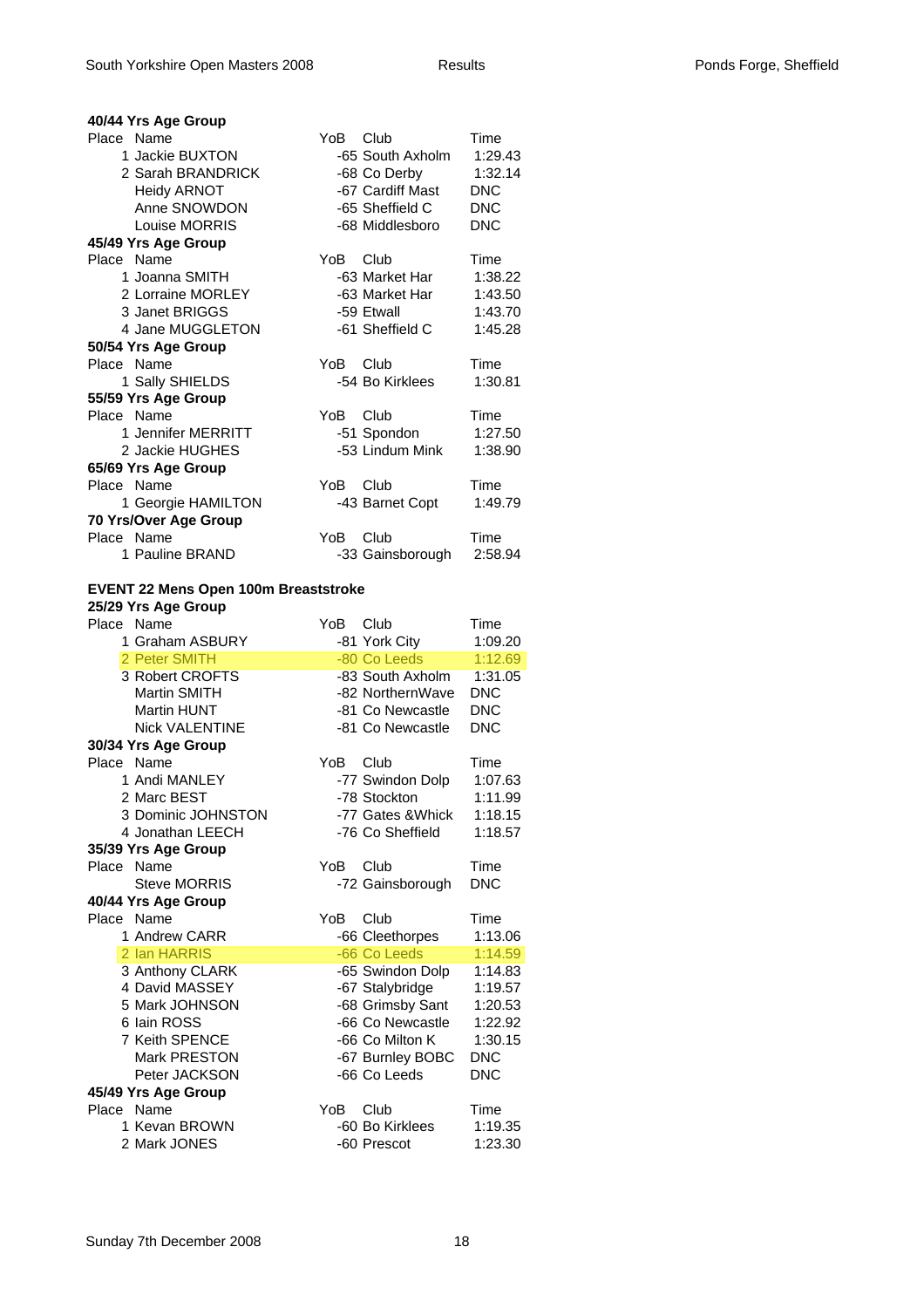| 40/44 Yrs Age Group                  |          |                                |                    |
|--------------------------------------|----------|--------------------------------|--------------------|
| Place Name                           | YoB      | Club                           | Time               |
| 1 Jackie BUXTON                      |          | -65 South Axholm               | 1:29.43            |
| 2 Sarah BRANDRICK                    |          | -68 Co Derby                   | 1:32.14            |
| <b>Heidy ARNOT</b>                   |          | -67 Cardiff Mast               | <b>DNC</b>         |
| Anne SNOWDON                         |          | -65 Sheffield C                | <b>DNC</b>         |
| Louise MORRIS                        |          | -68 Middlesboro                | <b>DNC</b>         |
| 45/49 Yrs Age Group                  |          |                                |                    |
| Place Name                           | YoB.     | Club                           | Time               |
| 1 Joanna SMITH                       |          | -63 Market Har                 | 1:38.22            |
| 2 Lorraine MORLEY                    |          | -63 Market Har                 | 1:43.50            |
| 3 Janet BRIGGS                       |          | -59 Etwall                     | 1:43.70            |
| 4 Jane MUGGLETON                     |          | -61 Sheffield C                | 1:45.28            |
| 50/54 Yrs Age Group                  |          |                                |                    |
| Place Name                           | YoB Club |                                | Time               |
| 1 Sally SHIELDS                      |          | -54 Bo Kirklees                | 1:30.81            |
| 55/59 Yrs Age Group                  |          |                                |                    |
| Place Name                           | YoB.     | Club                           | Time               |
| 1 Jennifer MERRITT                   |          | -51 Spondon                    | 1:27.50            |
| 2 Jackie HUGHES                      |          | -53 Lindum Mink                | 1:38.90            |
|                                      |          |                                |                    |
| 65/69 Yrs Age Group<br>Place Name    | YoB      | Club                           | Time               |
| 1 Georgie HAMILTON                   |          |                                | 1:49.79            |
|                                      |          | -43 Barnet Copt                |                    |
| 70 Yrs/Over Age Group<br>Place Name  | YoB      | Club                           | Time               |
| 1 Pauline BRAND                      |          | -33 Gainsborough               | 2:58.94            |
|                                      |          |                                |                    |
| EVENT 22 Mens Open 100m Breaststroke |          |                                |                    |
| 25/29 Yrs Age Group                  |          |                                |                    |
| Place Name                           | YoB      | Club                           | Time               |
|                                      |          |                                |                    |
| 1 Graham ASBURY                      |          | -81 York City                  | 1:09.20            |
| 2 Peter SMITH                        |          | -80 Co Leeds                   | 1:12.69            |
| 3 Robert CROFTS                      |          | -83 South Axholm               | 1:31.05            |
| Martin SMITH                         |          | -82 NorthernWave               | <b>DNC</b>         |
| <b>Martin HUNT</b>                   |          | -81 Co Newcastle               | <b>DNC</b>         |
| <b>Nick VALENTINE</b>                |          | -81 Co Newcastle               | <b>DNC</b>         |
| 30/34 Yrs Age Group                  |          |                                |                    |
| Place Name                           | YoB      | Club                           | Time               |
| 1 Andi MANLEY                        |          | -77 Swindon Dolp               | 1:07.63            |
| 2 Marc BEST                          |          | -78 Stockton                   | 1:11.99            |
| 3 Dominic JOHNSTON                   |          | -77 Gates & Whick              | 1:18.15            |
| 4 Jonathan LEECH                     |          | -76 Co Sheffield               | 1:18.57            |
| 35/39 Yrs Age Group                  |          |                                |                    |
| Place Name                           | YoB      | Club                           | Time               |
| <b>Steve MORRIS</b>                  |          | -72 Gainsborough               | <b>DNC</b>         |
| 40/44 Yrs Age Group                  |          |                                |                    |
| Place Name                           | YoB      | Club                           | Time               |
| 1 Andrew CARR                        |          | -66 Cleethorpes                | 1:13.06            |
| 2 Ian HARRIS                         |          | -66 Co Leeds                   | 1:14.59            |
| 3 Anthony CLARK                      |          | -65 Swindon Dolp               | 1:14.83            |
| 4 David MASSEY                       |          | -67 Stalybridge                | 1:19.57            |
| 5 Mark JOHNSON                       |          | -68 Grimsby Sant               | 1:20.53            |
| 6 Iain ROSS                          |          | -66 Co Newcastle               | 1:22.92            |
| <b>7 Keith SPENCE</b>                |          | -66 Co Milton K                | 1:30.15            |
| Mark PRESTON                         |          | -67 Burnley BOBC               | <b>DNC</b>         |
| Peter JACKSON                        |          | -66 Co Leeds                   | <b>DNC</b>         |
| 45/49 Yrs Age Group                  |          |                                |                    |
| Place Name                           | YoB      | Club                           | Time               |
| 1 Kevan BROWN<br>2 Mark JONES        |          | -60 Bo Kirklees<br>-60 Prescot | 1:19.35<br>1:23.30 |

#### Sunday 7th December 2008 18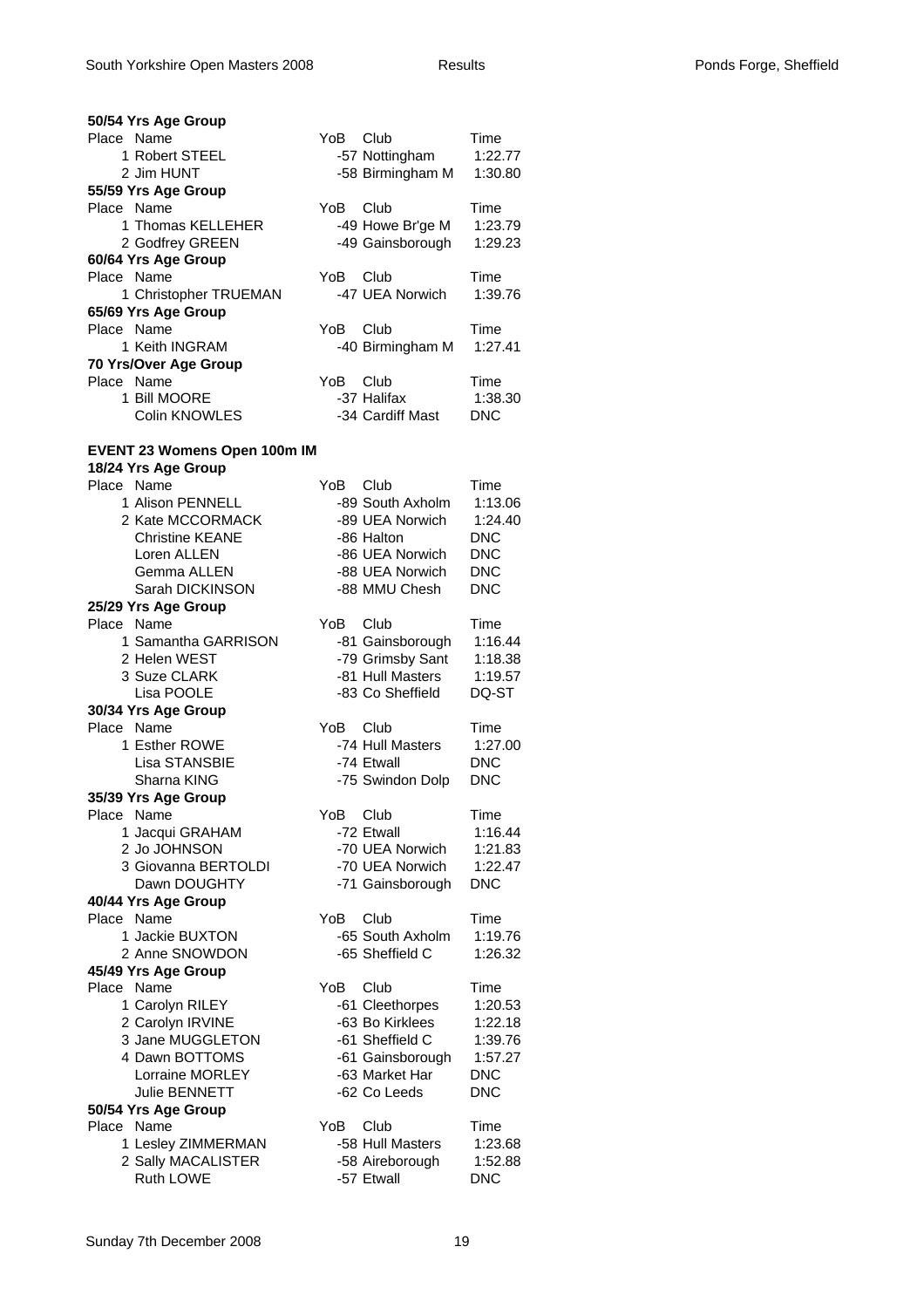| 50/54 Yrs Age Group               |          |                  |            |
|-----------------------------------|----------|------------------|------------|
| Place Name                        | YoB      | Club             | Time       |
| 1 Robert STEEL                    |          | -57 Nottingham   | 1:22.77    |
| 2 Jim HUNT                        |          | -58 Birmingham M | 1:30.80    |
| 55/59 Yrs Age Group               |          |                  |            |
| Place Name                        | YoB      | Club             | Time       |
| 1 Thomas KELLEHER                 |          | -49 Howe Br'ge M | 1:23.79    |
| 2 Godfrey GREEN                   |          | -49 Gainsborough | 1:29.23    |
| 60/64 Yrs Age Group<br>Place Name | YoB.     | Club             | Time       |
| 1 Christopher TRUEMAN             |          | -47 UEA Norwich  | 1:39.76    |
| 65/69 Yrs Age Group               |          |                  |            |
| Place Name                        | YoB.     | Club             | Time       |
| 1 Keith INGRAM                    |          | -40 Birmingham M | 1:27.41    |
| 70 Yrs/Over Age Group             |          |                  |            |
| Place Name                        | YoB      | Club             | Time       |
| 1 Bill MOORE                      |          | -37 Halifax      | 1:38.30    |
| Colin KNOWLES                     |          | -34 Cardiff Mast | <b>DNC</b> |
|                                   |          |                  |            |
| EVENT 23 Womens Open 100m IM      |          |                  |            |
| 18/24 Yrs Age Group               |          |                  |            |
| Place Name                        | YoB      | Club             | Time       |
| 1 Alison PENNELL                  |          | -89 South Axholm | 1:13.06    |
| 2 Kate MCCORMACK                  |          | -89 UEA Norwich  | 1:24.40    |
| <b>Christine KEANE</b>            |          | -86 Halton       | <b>DNC</b> |
| Loren ALLEN                       |          | -86 UEA Norwich  | <b>DNC</b> |
| Gemma ALLEN                       |          | -88 UEA Norwich  | <b>DNC</b> |
| Sarah DICKINSON                   |          | -88 MMU Chesh    | <b>DNC</b> |
| 25/29 Yrs Age Group               |          |                  |            |
| Place Name                        | YoB      | Club             | Time       |
| 1 Samantha GARRISON               |          | -81 Gainsborough | 1:16.44    |
| 2 Helen WEST                      |          | -79 Grimsby Sant | 1:18.38    |
| 3 Suze CLARK                      |          | -81 Hull Masters | 1:19.57    |
| Lisa POOLE                        |          | -83 Co Sheffield | DQ-ST      |
| 30/34 Yrs Age Group               |          |                  |            |
| Place Name                        | YoB      | Club             | Time       |
| 1 Esther ROWE                     |          | -74 Hull Masters | 1:27.00    |
| Lisa STANSBIE                     |          | -74 Etwall       | <b>DNC</b> |
| Sharna KING                       |          | -75 Swindon Dolp | <b>DNC</b> |
| 35/39 Yrs Age Group               |          |                  |            |
| Place Name                        | YoB Club |                  | Time       |
| 1 Jacqui GRAHAM                   |          | -72 Etwall       | 1:16.44    |
| 2 Jo JOHNSON                      |          | -70 UEA Norwich  | 1:21.83    |
| 3 Giovanna BERTOLDI               |          | -70 UEA Norwich  | 1:22.47    |
| Dawn DOUGHTY                      |          | -71 Gainsborough | <b>DNC</b> |
| 40/44 Yrs Age Group<br>Place Name | YoB      | Club             | Time       |
| 1 Jackie BUXTON                   |          | -65 South Axholm | 1:19.76    |
| 2 Anne SNOWDON                    |          | -65 Sheffield C  | 1:26.32    |
| 45/49 Yrs Age Group               |          |                  |            |
| Place Name                        | YoB      | Club             | Time       |
| 1 Carolyn RILEY                   |          | -61 Cleethorpes  | 1:20.53    |
| 2 Carolyn IRVINE                  |          | -63 Bo Kirklees  | 1:22.18    |
| 3 Jane MUGGLETON                  |          | -61 Sheffield C  | 1:39.76    |
| 4 Dawn BOTTOMS                    |          | -61 Gainsborough | 1:57.27    |
| Lorraine MORLEY                   |          | -63 Market Har   | <b>DNC</b> |
| <b>Julie BENNETT</b>              |          | -62 Co Leeds     | <b>DNC</b> |
| 50/54 Yrs Age Group               |          |                  |            |
| Place Name                        | YoB.     | Club             | Time       |
| 1 Lesley ZIMMERMAN                |          | -58 Hull Masters | 1:23.68    |
| 2 Sally MACALISTER                |          | -58 Aireborough  | 1:52.88    |
| Ruth LOWE                         |          | -57 Etwall       | <b>DNC</b> |
|                                   |          |                  |            |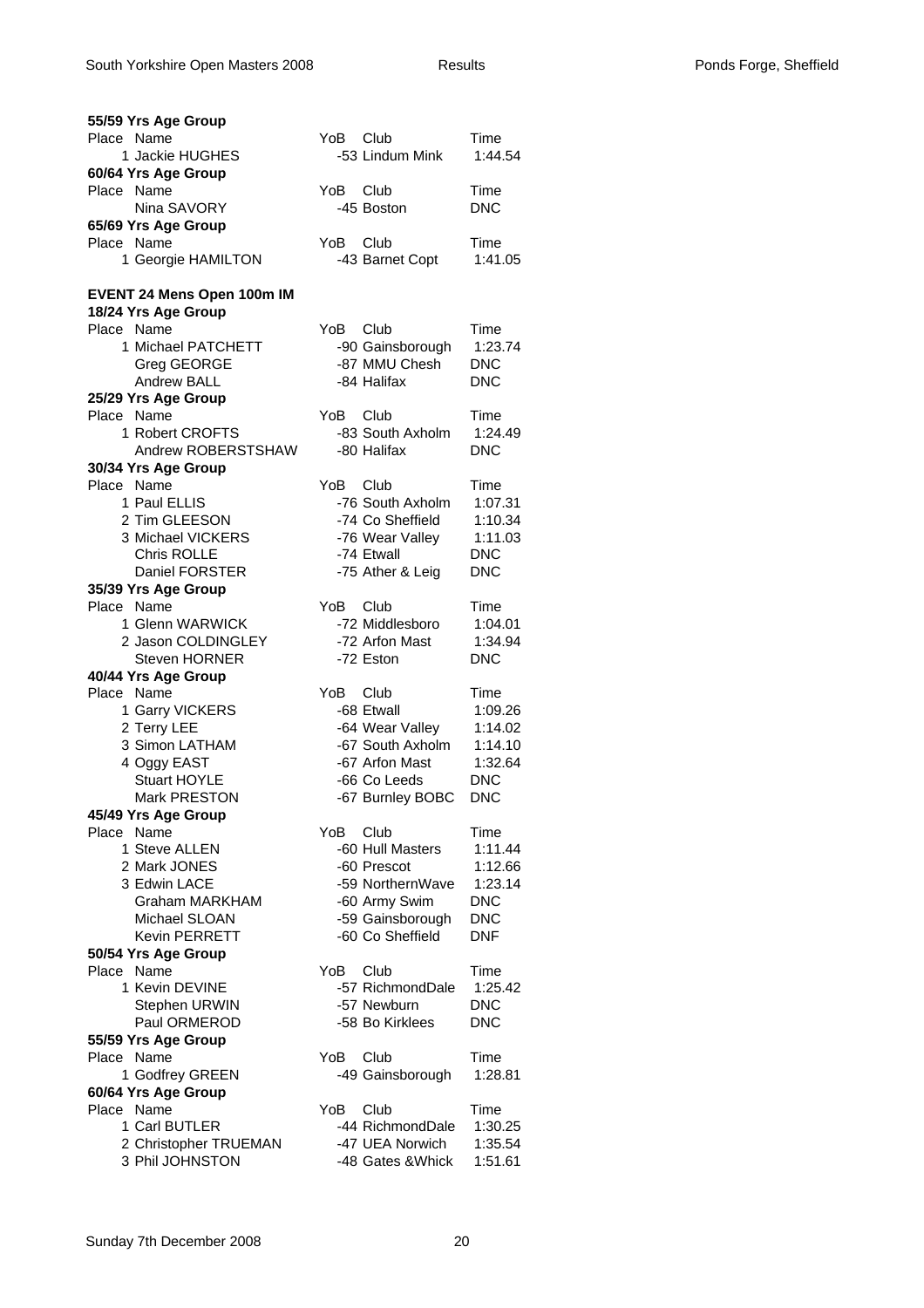| 55/59 Yrs Age Group        |                                |  |
|----------------------------|--------------------------------|--|
| Place Name                 | YoB.<br>Club<br>Time           |  |
| 1 Jackie HUGHES            | -53 Lindum Mink<br>1:44.54     |  |
| 60/64 Yrs Age Group        |                                |  |
| Place Name                 | YoB<br>Club<br>Time            |  |
| Nina SAVORY                | <b>DNC</b><br>-45 Boston       |  |
| 65/69 Yrs Age Group        |                                |  |
| Place Name                 | YoB<br>Club<br>Time            |  |
| 1 Georgie HAMILTON         | 1:41.05<br>-43 Barnet Copt     |  |
|                            |                                |  |
| EVENT 24 Mens Open 100m IM |                                |  |
| 18/24 Yrs Age Group        |                                |  |
| Place Name                 | YoB<br>Club<br>Time            |  |
| 1 Michael PATCHETT         | 1:23.74<br>-90 Gainsborough    |  |
| Greg GEORGE                | -87 MMU Chesh<br><b>DNC</b>    |  |
| <b>Andrew BALL</b>         | -84 Halifax<br><b>DNC</b>      |  |
| 25/29 Yrs Age Group        |                                |  |
| Place Name                 | YoB<br>Club<br>Time            |  |
| 1 Robert CROFTS            | -83 South Axholm<br>1:24.49    |  |
| Andrew ROBERSTSHAW         | -80 Halifax<br><b>DNC</b>      |  |
| 30/34 Yrs Age Group        |                                |  |
| Place Name                 | YoB<br>Club<br>Time            |  |
| 1 Paul ELLIS               | -76 South Axholm<br>1:07.31    |  |
| 2 Tim GLEESON              | -74 Co Sheffield<br>1:10.34    |  |
| 3 Michael VICKERS          | -76 Wear Valley<br>1:11.03     |  |
| Chris ROLLE                | -74 Etwall<br><b>DNC</b>       |  |
| Daniel FORSTER             | <b>DNC</b><br>-75 Ather & Leig |  |
| 35/39 Yrs Age Group        |                                |  |
| Place Name                 | YoB.<br>Club<br>Time           |  |
| 1 Glenn WARWICK            | -72 Middlesboro<br>1:04.01     |  |
| 2 Jason COLDINGLEY         | -72 Arfon Mast<br>1:34.94      |  |
| <b>Steven HORNER</b>       | -72 Eston<br><b>DNC</b>        |  |
| 40/44 Yrs Age Group        |                                |  |
|                            |                                |  |
|                            |                                |  |
| Place Name                 | YoB<br>Club<br>Time            |  |
| 1 Garry VICKERS            | -68 Etwall<br>1:09.26          |  |
| 2 Terry LEE                | -64 Wear Valley<br>1:14.02     |  |
| 3 Simon LATHAM             | -67 South Axholm<br>1:14.10    |  |
| 4 Oggy EAST                | -67 Arfon Mast<br>1:32.64      |  |
| Stuart HOYLE               | <b>DNC</b><br>-66 Co Leeds     |  |
| Mark PRESTON               | <b>DNC</b><br>-67 Burnley BOBC |  |
| 45/49 Yrs Age Group        |                                |  |
| Place Name                 | Club<br>YoB<br>Time            |  |
| 1 Steve ALLEN              | -60 Hull Masters<br>1:11.44    |  |
| 2 Mark JONES               | -60 Prescot<br>1:12.66         |  |
| 3 Edwin LACE               | -59 NorthernWave<br>1:23.14    |  |
| <b>Graham MARKHAM</b>      | <b>DNC</b><br>-60 Army Swim    |  |
| Michael SLOAN              | -59 Gainsborough<br><b>DNC</b> |  |
| <b>Kevin PERRETT</b>       | -60 Co Sheffield<br><b>DNF</b> |  |
| 50/54 Yrs Age Group        |                                |  |
| Place Name                 | YoB<br>Club<br>Time            |  |
| 1 Kevin DEVINE             | -57 RichmondDale<br>1:25.42    |  |
| Stephen URWIN              | -57 Newburn<br><b>DNC</b>      |  |
| Paul ORMEROD               | -58 Bo Kirklees<br><b>DNC</b>  |  |
| 55/59 Yrs Age Group        |                                |  |
| Place Name                 | YoB<br>Club<br>Time            |  |
| 1 Godfrey GREEN            | 1:28.81<br>-49 Gainsborough    |  |
| 60/64 Yrs Age Group        |                                |  |
| Place Name                 | YoB<br>Club<br>Time            |  |
| 1 Carl BUTLER              | -44 RichmondDale<br>1:30.25    |  |
| 2 Christopher TRUEMAN      | -47 UEA Norwich<br>1:35.54     |  |
| 3 Phil JOHNSTON            | -48 Gates & Whick<br>1:51.61   |  |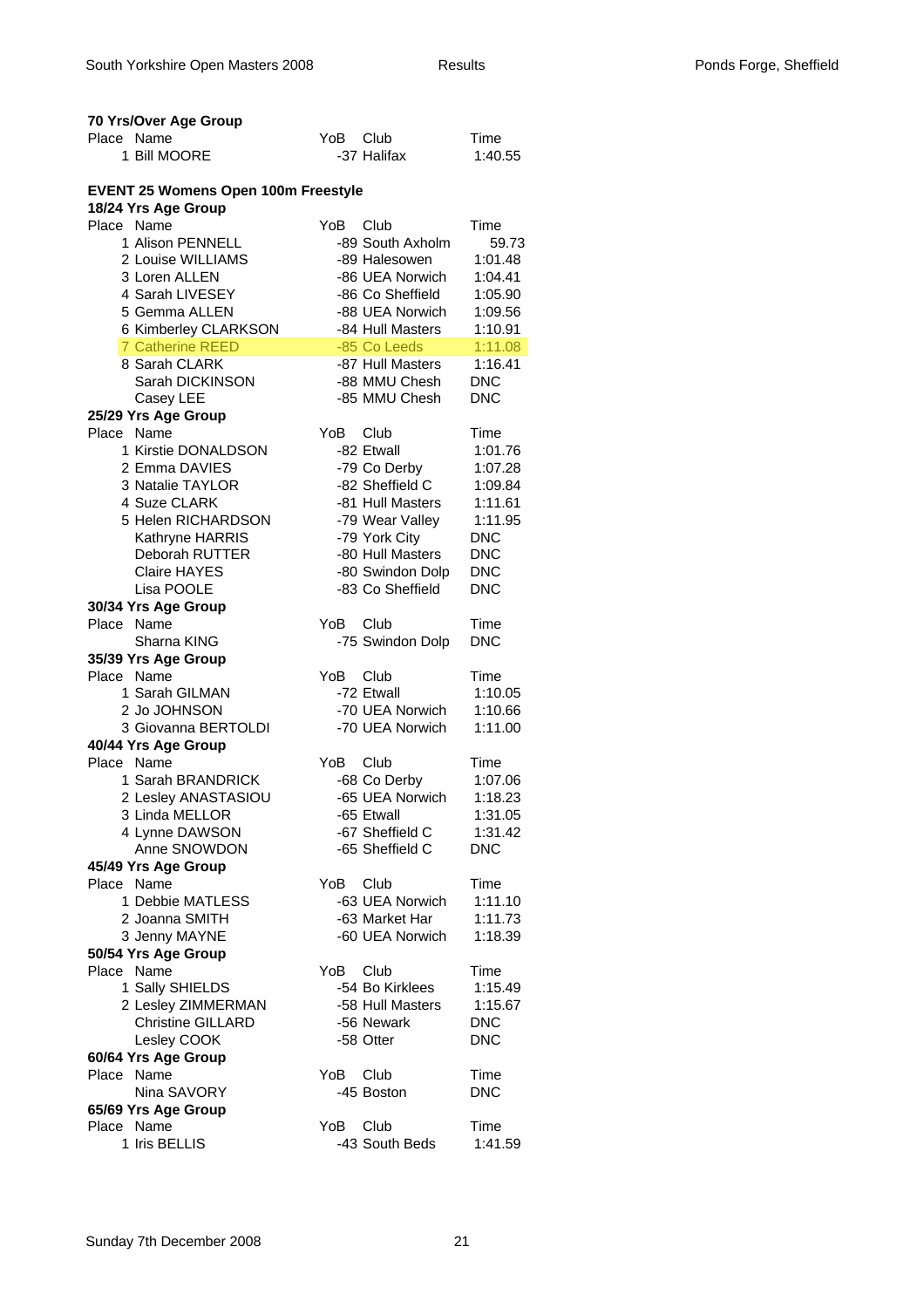| 70 Yrs/Over Age Group                      |      |                  |            |
|--------------------------------------------|------|------------------|------------|
| Place Name                                 | YoB. | Club             | Time       |
| 1 Bill MOORE                               |      | -37 Halifax      | 1:40.55    |
|                                            |      |                  |            |
| <b>EVENT 25 Womens Open 100m Freestyle</b> |      |                  |            |
| 18/24 Yrs Age Group                        |      |                  |            |
| Place Name                                 | YoB  | Club             | Time       |
| 1 Alison PENNELL                           |      | -89 South Axholm | 59.73      |
| 2 Louise WILLIAMS                          |      | -89 Halesowen    | 1:01.48    |
| 3 Loren ALLEN                              |      | -86 UEA Norwich  | 1:04.41    |
| 4 Sarah LIVESEY                            |      | -86 Co Sheffield | 1:05.90    |
| 5 Gemma ALLEN                              |      | -88 UEA Norwich  | 1:09.56    |
| 6 Kimberley CLARKSON                       |      | -84 Hull Masters | 1:10.91    |
| <b>7 Catherine REED</b>                    |      | -85 Co Leeds     | 1:11.08    |
| 8 Sarah CLARK                              |      | -87 Hull Masters | 1:16.41    |
| Sarah DICKINSON                            |      | -88 MMU Chesh    | <b>DNC</b> |
| Casey LEE                                  |      | -85 MMU Chesh    | <b>DNC</b> |
| 25/29 Yrs Age Group                        |      |                  |            |
| Place Name                                 | YoB  | Club             | Time       |
| 1 Kirstie DONALDSON                        |      | -82 Etwall       | 1:01.76    |
| 2 Emma DAVIES                              |      | -79 Co Derby     | 1:07.28    |
| 3 Natalie TAYLOR                           |      | -82 Sheffield C  | 1:09.84    |
| 4 Suze CLARK                               |      | -81 Hull Masters | 1:11.61    |
| 5 Helen RICHARDSON                         |      | -79 Wear Valley  | 1:11.95    |
| Kathryne HARRIS                            |      | -79 York City    | <b>DNC</b> |
| Deborah RUTTER                             |      | -80 Hull Masters | <b>DNC</b> |
| <b>Claire HAYES</b>                        |      | -80 Swindon Dolp | <b>DNC</b> |
| Lisa POOLE                                 |      | -83 Co Sheffield | <b>DNC</b> |
| 30/34 Yrs Age Group                        |      |                  |            |
| Place Name                                 | YoB  | Club             | Time       |
| Sharna KING                                |      | -75 Swindon Dolp | <b>DNC</b> |
| 35/39 Yrs Age Group                        |      |                  |            |
| Place Name                                 | YoB  | Club             | Time       |
| 1 Sarah GILMAN                             |      | -72 Etwall       | 1:10.05    |
| 2 Jo JOHNSON                               |      | -70 UEA Norwich  | 1:10.66    |
| 3 Giovanna BERTOLDI                        |      | -70 UEA Norwich  | 1:11.00    |
| 40/44 Yrs Age Group                        |      |                  |            |
| Place Name                                 | YoB  | Club             | Time       |
| 1 Sarah BRANDRICK                          |      | -68 Co Derby     | 1:07.06    |
| 2 Lesley ANASTASIOU                        |      | -65 UEA Norwich  | 1:18.23    |
| 3 Linda MELLOR                             |      | -65 Etwall       | 1:31.05    |
| 4 Lynne DAWSON                             |      | -67 Sheffield C  | 1:31.42    |
| Anne SNOWDON                               |      | -65 Sheffield C  | <b>DNC</b> |
| 45/49 Yrs Age Group                        |      |                  |            |
| Place Name                                 | YoB  | Club             | Time       |
| 1 Debbie MATLESS                           |      | -63 UEA Norwich  | 1:11.10    |
| 2 Joanna SMITH                             |      | -63 Market Har   | 1:11.73    |
| 3 Jenny MAYNE                              |      | -60 UEA Norwich  | 1:18.39    |
| 50/54 Yrs Age Group                        |      |                  |            |
| Place Name                                 | YoB  | Club             | Time       |
| 1 Sally SHIELDS                            |      | -54 Bo Kirklees  | 1:15.49    |
| 2 Lesley ZIMMERMAN                         |      | -58 Hull Masters | 1:15.67    |
| <b>Christine GILLARD</b>                   |      | -56 Newark       | <b>DNC</b> |
| Lesley COOK                                |      | -58 Otter        | <b>DNC</b> |
| 60/64 Yrs Age Group                        |      |                  |            |
| Place<br>Name                              | YoB  | Club             | Time       |
| Nina SAVORY                                |      | -45 Boston       | <b>DNC</b> |
| 65/69 Yrs Age Group                        |      |                  |            |
| Place Name                                 | YoB  | Club             | Time       |
| 1 Iris BELLIS                              |      | -43 South Beds   | 1:41.59    |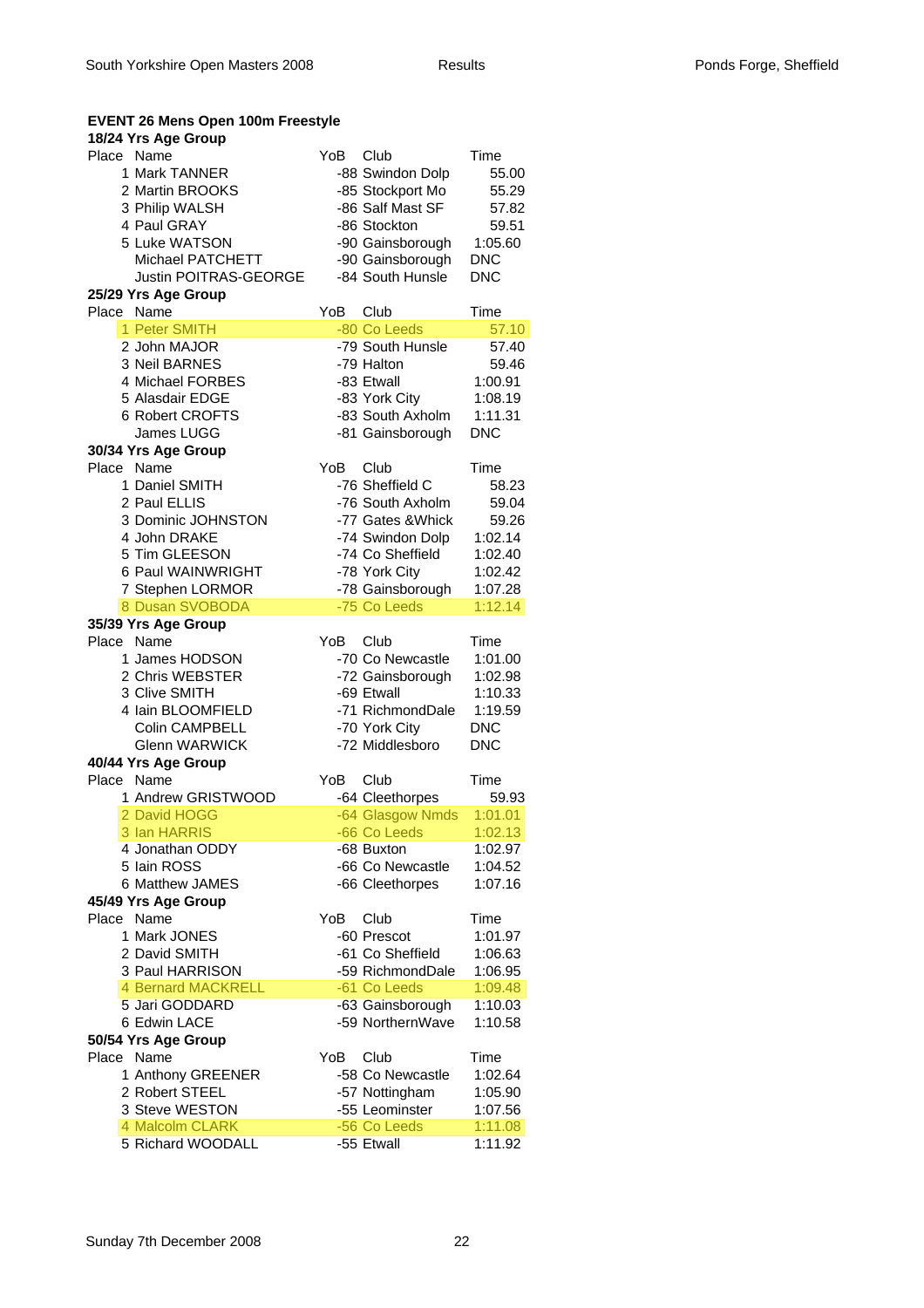| <b>EVENT 26 Mens Open 100m Freestyle</b> |     |                                      |                    |
|------------------------------------------|-----|--------------------------------------|--------------------|
| 18/24 Yrs Age Group                      |     |                                      |                    |
| Place Name                               | YoB | Club                                 | Time               |
| 1 Mark TANNER<br>2 Martin BROOKS         |     | -88 Swindon Dolp                     | 55.00              |
| 3 Philip WALSH                           |     | -85 Stockport Mo<br>-86 Salf Mast SF | 55.29<br>57.82     |
| 4 Paul GRAY                              |     | -86 Stockton                         | 59.51              |
| 5 Luke WATSON                            |     | -90 Gainsborough                     | 1:05.60            |
| Michael PATCHETT                         |     | -90 Gainsborough                     | <b>DNC</b>         |
| <b>Justin POITRAS-GEORGE</b>             |     | -84 South Hunsle                     | <b>DNC</b>         |
| 25/29 Yrs Age Group                      |     |                                      |                    |
| Place Name                               | YoB | Club                                 | Time               |
| 1 Peter SMITH                            |     | -80 Co Leeds                         | 57.10              |
| 2 John MAJOR                             |     | -79 South Hunsle                     | 57.40              |
| 3 Neil BARNES                            |     | -79 Halton                           | 59.46              |
| 4 Michael FORBES                         |     | -83 Etwall                           | 1:00.91            |
| 5 Alasdair EDGE                          |     | -83 York City                        | 1:08.19            |
| 6 Robert CROFTS                          |     | -83 South Axholm                     | 1:11.31            |
| James LUGG                               |     | -81 Gainsborough                     | <b>DNC</b>         |
| 30/34 Yrs Age Group                      |     |                                      |                    |
| Place<br>Name                            | YoB | Club                                 | Time               |
| 1 Daniel SMITH                           |     | -76 Sheffield C                      | 58.23              |
| 2 Paul ELLIS                             |     | -76 South Axholm                     | 59.04              |
| 3 Dominic JOHNSTON                       |     | -77 Gates & Whick                    | 59.26              |
| 4 John DRAKE                             |     | -74 Swindon Dolp                     | 1:02.14            |
| 5 Tim GLEESON                            |     | -74 Co Sheffield                     | 1:02.40            |
| 6 Paul WAINWRIGHT                        |     | -78 York City                        | 1:02.42            |
| 7 Stephen LORMOR<br>8 Dusan SVOBODA      |     | -78 Gainsborough<br>-75 Co Leeds     | 1:07.28            |
|                                          |     |                                      | 1:12.14            |
|                                          |     |                                      |                    |
| 35/39 Yrs Age Group                      |     |                                      |                    |
| Place Name                               | YoB | Club                                 | Time               |
| 1 James HODSON                           |     | -70 Co Newcastle                     | 1:01.00            |
| 2 Chris WEBSTER                          |     | -72 Gainsborough                     | 1:02.98            |
| 3 Clive SMITH<br>4 Iain BLOOMFIELD       |     | -69 Etwall                           | 1:10.33<br>1:19.59 |
| <b>Colin CAMPBELL</b>                    |     | -71 RichmondDale                     | <b>DNC</b>         |
| <b>Glenn WARWICK</b>                     |     | -70 York City<br>-72 Middlesboro     | <b>DNC</b>         |
| 40/44 Yrs Age Group                      |     |                                      |                    |
| Place Name                               | YoB | Club                                 | Time               |
| 1 Andrew GRISTWOOD                       |     | -64 Cleethorpes                      | 59.93              |
| 2 David HOGG                             |     | -64 Glasgow Nmds                     | 1:01.01            |
| 3 Ian HARRIS                             |     | -66 Co Leeds                         | 1:02.13            |
| 4 Jonathan ODDY                          |     | -68 Buxton                           | 1:02.97            |
| 5 Iain ROSS                              |     | -66 Co Newcastle                     | 1:04.52            |
| 6 Matthew JAMES                          |     | -66 Cleethorpes                      | 1:07.16            |
| 45/49 Yrs Age Group                      |     |                                      |                    |
| Place Name                               | YoB | Club                                 | Time               |
| 1 Mark JONES                             |     | -60 Prescot                          | 1:01.97            |
| 2 David SMITH                            |     | -61 Co Sheffield                     | 1:06.63            |
| 3 Paul HARRISON                          |     | -59 RichmondDale                     | 1:06.95            |
| <b>4 Bernard MACKRELL</b>                |     | -61 Co Leeds                         | 1:09.48            |
| 5 Jari GODDARD                           |     | -63 Gainsborough                     | 1:10.03            |
| 6 Edwin LACE                             |     | -59 NorthernWave                     | 1:10.58            |
| 50/54 Yrs Age Group                      |     |                                      |                    |
| Place Name                               | YoB | Club                                 | Time               |
| 1 Anthony GREENER                        |     | -58 Co Newcastle                     | 1:02.64            |
| 2 Robert STEEL                           |     | -57 Nottingham                       | 1:05.90            |
| 3 Steve WESTON<br>4 Malcolm CLARK        |     | -55 Leominster<br>-56 Co Leeds       | 1:07.56<br>1:11.08 |